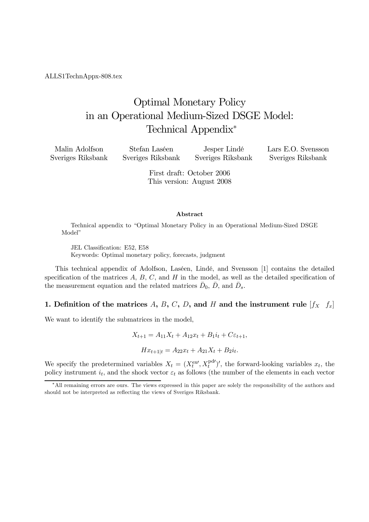ALLS1TechnAppx-808.tex

# Optimal Monetary Policy in an Operational Medium-Sized DSGE Model: Technical Appendix<sup>∗</sup>

| Malin Adolfson    | Stefan Laséen     | Jesper Lindé      | Lars E.O. Svensson |
|-------------------|-------------------|-------------------|--------------------|
| Sveriges Riksbank | Sveriges Riksbank | Sveriges Riksbank | Sveriges Riksbank  |

First draft: October 2006 This version: August 2008

#### Abstract

Technical appendix to "Optimal Monetary Policy in an Operational Medium-Sized DSGE Model"

JEL Classification: E52, E58 Keywords: Optimal monetary policy, forecasts, judgment

This technical appendix of Adolfson, Laséen, Lindé, and Svensson [1] contains the detailed specification of the matrices  $A, B, C$ , and  $H$  in the model, as well as the detailed specification of the measurement equation and the related matrices  $\bar{D}_0$ ,  $\bar{D}$ , and  $\bar{D}_s$ .

#### 1. Definition of the matrices A, B, C, D, and H and the instrument rule  $[f_X \ f_x]$

We want to identify the submatrices in the model,

$$
X_{t+1} = A_{11}X_t + A_{12}x_t + B_1i_t + C\varepsilon_{t+1},
$$
  

$$
Hx_{t+1|t} = A_{22}x_t + A_{21}X_t + B_2i_t.
$$

We specify the predetermined variables  $X_t = (X_t^{\text{exy}}, X_t^{\text{pd}})'$ , the forward-looking variables  $x_t$ , the policy instrument  $i_t$ , and the shock vector  $\varepsilon_t$  as follows (the number of the elements in each vector

<sup>∗</sup>All remaining errors are ours. The views expressed in this paper are solely the responsibility of the authors and should not be interpreted as reflecting the views of Sveriges Riksbank.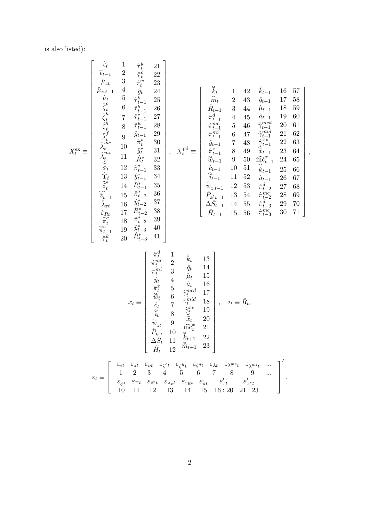is also listed):

$$
\mathbf{X}_{t}^{\text{ce}} = \begin{bmatrix}\n\hat{\epsilon}_{t-1} & 1 & \hat{\tau}_{t}^{y} & 21 \\
\hat{\epsilon}_{t-1} & 2 & \hat{\tau}_{t}^{c} & 22 \\
\hat{\mu}_{zt-1} & 4 & \hat{\theta}_{t} & 24 \\
\hat{\nu}_{t} & 5 & \hat{\tau}_{t}^{k} & 25 \\
\hat{\epsilon}_{t} & 6 & \hat{\tau}_{t-1}^{y} & 26 \\
\hat{\epsilon}_{t} & 6 & \hat{\tau}_{t-1}^{y} & 27 \\
\hat{\epsilon}_{t} & 7 & \hat{\tau}_{t-1}^{c} & 27 \\
\hat{\epsilon}_{t} & 8 & \hat{\tau}_{t-1}^{w} & 28 \\
\hat{\lambda}_{t}^{y} & 10 & \hat{\theta}_{t-1}^{y} & 30 \\
\hat{\lambda}_{t}^{y} & 11 & \hat{\theta}_{t}^{y} & 31 \\
\hat{\lambda}_{t}^{y} & 11 & \hat{\theta}_{t}^{y} & 31 \\
\hat{\lambda}_{t}^{y} & 11 & \hat{\theta}_{t}^{y} & 32 \\
\hat{\lambda}_{t}^{y} & 11 & \hat{\theta}_{t}^{y} & 31 \\
\hat{\lambda}_{t}^{z} & 11 & \hat{\theta}_{t}^{z} & 36 \\
\hat{\lambda}_{t} & 12 & \hat{\pi}_{t-1}^{z} & 36 \\
\hat{\lambda}_{t} & 11 & \hat{\pi}_{t}^{z} & 36 \\
\hat{\lambda}_{t} & 11 & \hat{\pi}_{t}^{z} & 36 \\
\hat{\lambda}_{t} & 11 & \hat{\pi}_{t}^{z} & 36 \\
\hat{\lambda}_{t} & 11 & \hat{\pi}_{t}^{z} & 36 \\
\hat{\lambda}_{t} & 11 & 52 & \hat{\mu}_{t-1} & 28 & 64 \\
\hat{\lambda}_{t-1} & 11 & 52 & \hat{\mu}_{t-1} & 28 & 64 \\
\hat{\lambda}_{t-1} & 11 & 52 & \hat{\mu}_{t-1} & 28 & 64 \\
\hat{\lambda}_{t-1} & 11 & 52 & \hat{\mu}_{t-1} & 28 & 67 \\
\hat{\lambda}_{t}^{z} & 18 & \hat{\pi}_{t-3}^{z} & 30 \\
\hat{\pi}_{t-1}^{z} & 19 & \hat{\mu}_{t-3}
$$

,

2

 $\varepsilon_{\tilde{\phi}t}$   $\varepsilon_{\Upsilon t}$   $\varepsilon_{\tilde{z}^{*t}}$   $\varepsilon_{\lambda x}$ t  $\varepsilon_{\varepsilon R}$ t  $\varepsilon_{\tilde{\pi}t}$   $\varepsilon_{\tau t}'$   $\varepsilon_{x^*t}'$ 10 11 12 13 14 15 16 : 20 21 : 23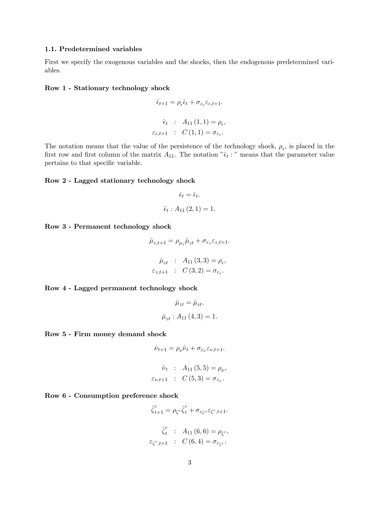#### 1.1. Predetermined variables

First we specify the exogenous variables and the shocks, then the endogenous predetermined variables.

#### Row 1 - Stationary technology shock

$$
\hat{\epsilon}_{t+1} = \rho_{\epsilon} \hat{\epsilon}_t + \sigma_{\varepsilon_{\epsilon}} \varepsilon_{\epsilon, t+1}.
$$

$$
\hat{\epsilon}_t : A_{11}(1, 1) = \rho_{\epsilon},
$$

$$
\varepsilon_{\epsilon, t+1} : C(1, 1) = \sigma_{\varepsilon_{\epsilon}}.
$$

The notation means that the value of the persistence of the technology shock,  $\rho_{\epsilon}$ , is placed in the first row and first column of the matrix  $A_{11}$ . The notation " $\hat{\epsilon}_t$ :" means that the parameter value pertains to that specific variable.

#### Row 2 - Lagged stationary technology shock

$$
\hat{\epsilon}_t = \hat{\epsilon}_t.
$$
  

$$
\hat{\epsilon}_t : A_{11} (2, 1) = 1.
$$

Row 3 - Permanent technology shock

$$
\hat{\mu}_{z,t+1} = \rho_{\mu_z} \hat{\mu}_{zt} + \sigma_{\varepsilon_z} \varepsilon_{z,t+1}.
$$

$$
\hat{\mu}_{zt} : A_{11}(3,3) = \rho_{\epsilon},
$$

$$
\varepsilon_{z,t+1} : C(3,2) = \sigma_{\varepsilon_{\epsilon}}.
$$

Row 4 - Lagged permanent technology shock

$$
\hat{\mu}_{zt} = \hat{\mu}_{zt}.
$$

$$
\hat{\mu}_{zt} : A_{11}(4,3) = 1.
$$

Row 5 - Firm money demand shock

$$
\hat{\nu}_{t+1} = \rho_{\nu}\hat{\nu}_t + \sigma_{\varepsilon_{\nu}}\varepsilon_{\nu,t+1}.
$$

$$
\hat{\nu}_t : A_{11}(5,5) = \rho_{\nu},
$$
  

$$
\varepsilon_{\nu,t+1} : C(5,3) = \sigma_{\varepsilon_{\nu}}.
$$

#### Row 6 - Consumption preference shock

$$
\hat{\zeta}_{t+1}^c = \rho_{\zeta^c} \hat{\zeta}_t^c + \sigma_{\varepsilon_{\zeta^c}} \varepsilon_{\zeta^c, t+1}.
$$

$$
\hat{\zeta}_t^c : A_{11}(6, 6) = \rho_{\zeta^c},
$$

$$
\varepsilon_{\zeta^c, t+1} : C(6, 4) = \sigma_{\varepsilon_{\zeta^c}}.
$$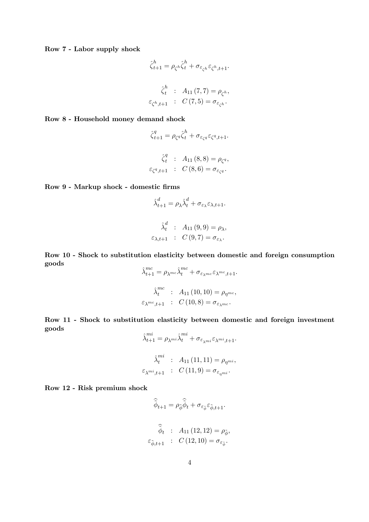Row 7 - Labor supply shock

$$
\hat{\zeta}_{t+1}^h = \rho_{\zeta^h} \hat{\zeta}_t^h + \sigma_{\varepsilon_{\zeta^h}} \varepsilon_{\zeta^h, t+1}.
$$

$$
\hat{\zeta}_t^h : A_{11}(7, 7) = \rho_{\zeta^h},
$$

$$
\varepsilon_{\zeta^h, t+1} : C(7, 5) = \sigma_{\varepsilon_{\zeta^h}}.
$$

Row 8 - Household money demand shock

$$
\hat{\zeta}_{t+1}^q = \rho_{\zeta^q} \hat{\zeta}_t^h + \sigma_{\varepsilon_{\zeta^q}} \varepsilon_{\zeta^q, t+1}.
$$

$$
\hat{\zeta}_t^q : A_{11}(8, 8) = \rho_{\zeta^q},
$$

$$
\varepsilon_{\zeta^q, t+1} : C(8, 6) = \sigma_{\varepsilon_{\zeta^q}}.
$$

Row 9 - Markup shock - domestic firms

$$
\hat{\lambda}_{t+1}^d = \rho_\lambda \hat{\lambda}_t^d + \sigma_{\varepsilon_\lambda} \varepsilon_{\lambda, t+1}.
$$

$$
\hat{\lambda}_t^d : A_{11}(9,9) = \rho_{\lambda},
$$
  

$$
\varepsilon_{\lambda,t+1} : C(9,7) = \sigma_{\varepsilon_{\lambda}}.
$$

Row 10 - Shock to substitution elasticity between domestic and foreign consumption goods

$$
\hat{\lambda}_{t+1}^{mc} = \rho_{\lambda^{mc}} \hat{\lambda}_t^{mc} + \sigma_{\varepsilon_{\lambda^{mc}}} \varepsilon_{\lambda^{mc}, t+1}.
$$

$$
\hat{\lambda}_t^{mc} : A_{11} (10, 10) = \rho_{\eta^{mc}},
$$

$$
\varepsilon_{\lambda^{mc}, t+1} : C (10, 8) = \sigma_{\varepsilon_{\lambda^{mc}}}.
$$

Row 11 - Shock to substitution elasticity between domestic and foreign investment goods

$$
\hat{\lambda}_{t+1}^{mi} = \rho_{\lambda^{mi}} \hat{\lambda}_t^{mi} + \sigma_{\varepsilon_{\lambda^{mi}}} \varepsilon_{\lambda^{mi}, t+1}.
$$

$$
\hat{\lambda}_t^{mi} \quad : \quad A_{11} (11, 11) = \rho_{\eta^{mi}},
$$

$$
\varepsilon_{\lambda^{mi}, t+1} \quad : \quad C (11, 9) = \sigma_{\varepsilon_{\eta^{mi}}}.
$$

Row 12 - Risk premium shock

$$
\widehat{\widetilde{\phi}}_{t+1} = \rho_{\widetilde{\phi}} \widehat{\widetilde{\phi}}_t + \sigma_{\varepsilon_{\widetilde{\phi}}} \varepsilon_{\widetilde{\phi},t+1}.
$$

$$
\widehat{\widetilde{\phi}}_t \quad : \quad A_{11} (12, 12) = \rho_{\widetilde{\phi}},
$$

$$
\varepsilon_{\widetilde{\phi},t+1} \quad : \quad C (12, 10) = \sigma_{\varepsilon_{\widetilde{\phi}}}.
$$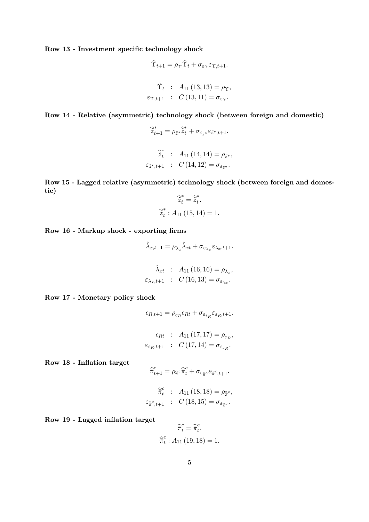Row 13 - Investment specific technology shock

$$
\hat{\Upsilon}_{t+1} = \rho_{\Upsilon} \hat{\Upsilon}_t + \sigma_{\varepsilon_{\Upsilon}} \varepsilon_{\Upsilon, t+1}.
$$

$$
\hat{\Upsilon}_t : A_{11} (13, 13) = \rho_{\Upsilon},
$$

$$
\varepsilon_{\Upsilon, t+1} : C (13, 11) = \sigma_{\varepsilon_{\Upsilon}}.
$$

Row 14 - Relative (asymmetric) technology shock (between foreign and domestic)

$$
\begin{aligned}\n\hat{\tilde{z}}_{t+1}^* &= \rho_{\tilde{z}^*}\hat{\tilde{z}}_t^* + \sigma_{\varepsilon_{\tilde{z}^*}}\varepsilon_{\tilde{z}^*,t+1}.\n\end{aligned}
$$
\n
$$
\begin{aligned}\n\hat{\tilde{z}}_t^* &= A_{11}(14, 14) = \rho_{\tilde{z}^*}, \\
\varepsilon_{\tilde{z}^*,t+1} &= C(14, 12) = \sigma_{\varepsilon_{\tilde{z}^*}}.\n\end{aligned}
$$

Row 15 - Lagged relative (asymmetric) technology shock (between foreign and domestic)

$$
\widetilde{\widetilde{z}}_t^* = \widetilde{\widetilde{z}}_t^*.
$$
  

$$
\widehat{\widetilde{z}}_t^* : A_{11} (15, 14) = 1.
$$

Row 16 - Markup shock - exporting firms

$$
\hat{\lambda}_{x,t+1} = \rho_{\lambda_x} \hat{\lambda}_{xt} + \sigma_{\varepsilon_{\lambda_x}} \varepsilon_{\lambda_x, t+1}.
$$

$$
\hat{\lambda}_{xt} : A_{11} (16, 16) = \rho_{\lambda_x},
$$

$$
\varepsilon_{\lambda_x, t+1} : C (16, 13) = \sigma_{\varepsilon_{\lambda_x}}.
$$

Row 17 - Monetary policy shock

$$
\epsilon_{R,t+1} = \rho_{\varepsilon_R} \epsilon_{Rt} + \sigma_{\varepsilon_{\varepsilon_R}} \varepsilon_{\varepsilon_R, t+1}.
$$

$$
\epsilon_{Rt} : A_{11} (17, 17) = \rho_{\varepsilon_R},
$$
  

$$
\varepsilon_{\varepsilon_R, t+1} : C (17, 14) = \sigma_{\varepsilon_{\varepsilon_R}}.
$$

Row 18 - Inflation target

$$
\widehat{\overline{\pi}}_{t+1}^c = \rho_{\widehat{\overline{\pi}}^c} \widehat{\overline{\pi}}_t^c + \sigma_{\varepsilon_{\widehat{\overline{\pi}}^c}} \varepsilon_{\widehat{\overline{\pi}}^c, t+1}.
$$

$$
\widehat{\overline{\pi}}_t^c : A_{11}(18, 18) = \rho_{\widehat{\overline{\pi}}^c},
$$
  

$$
\varepsilon_{\widehat{\overline{\pi}}^c, t+1} : C(18, 15) = \sigma_{\varepsilon_{\widehat{\overline{\pi}}^c}}.
$$

Row 19 - Lagged inflation target

$$
\widehat{\overline{\pi}}_t^c = \widehat{\overline{\pi}}_t^c.
$$

$$
\widehat{\overline{\pi}}_t^c : A_{11} (19, 18) = 1.
$$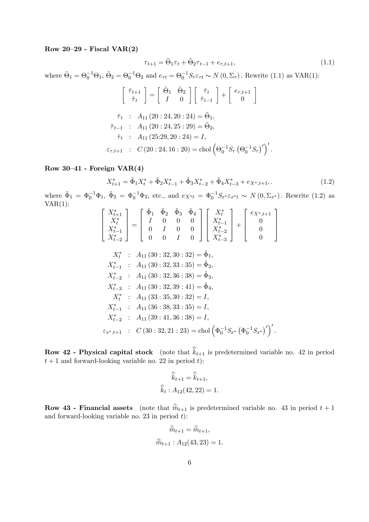#### Row  $20-29$  - Fiscal VAR $(2)$

$$
\tau_{t+1} = \tilde{\Theta}_1 \tau_t + \tilde{\Theta}_2 \tau_{t-1} + e_{\tau, t+1}, \tag{1.1}
$$

where  $\tilde{\Theta}_1 = \Theta_0^{-1} \Theta_1$ ,  $\tilde{\Theta}_2 = \Theta_0^{-1} \Theta_2$  and  $e_{\tau t} = \Theta_0^{-1} S_{\tau} \varepsilon_{\tau t} \sim N(0, \Sigma_{\tau})$ . Rewrite (1.1) as VAR(1):

$$
\begin{bmatrix}\n\hat{\tau}_{t+1} \\
\hat{\tau}_t\n\end{bmatrix} = \begin{bmatrix}\n\tilde{\Theta}_1 & \tilde{\Theta}_2 \\
I & 0\n\end{bmatrix} \begin{bmatrix}\n\hat{\tau}_t \\
\hat{\tau}_{t-1}\n\end{bmatrix} + \begin{bmatrix}\ne_{\tau, t+1} \\
0\n\end{bmatrix}
$$
\n
$$
\hat{\tau}_t : A_{11} (20 : 24, 20 : 24) = \tilde{\Theta}_1,
$$
\n
$$
\hat{\tau}_{t-1} : A_{11} (20 : 24, 25 : 29) = \tilde{\Theta}_2,
$$
\n
$$
\hat{\tau}_t : A_{11} (25 : 29, 20 : 24) = I,
$$
\n
$$
\varepsilon_{\tau, t+1} : C (20 : 24, 16 : 20) = \text{chol} \left(\Theta_0^{-1} S_\tau \left(\Theta_0^{-1} S_\tau\right)'\right)'
$$

### Row 30—41 - Foreign VAR(4)

$$
X_{t+1}^* = \tilde{\Phi}_1 X_t^* + \tilde{\Phi}_2 X_{t-1}^* + \tilde{\Phi}_3 X_{t-2}^* + \tilde{\Phi}_4 X_{t-3}^* + e_{X^*, t+1},
$$
\n(1.2)

where  $\tilde{\Phi}_1 = \Phi_0^{-1} \Phi_1$ ,  $\tilde{\Phi}_2 = \Phi_0^{-1} \Phi_2$ , etc., and  $e_{X^*t} = \Phi_0^{-1} S_{x^*} \varepsilon_{x^*t} \sim N(0, \Sigma_{x^*})$ . Rewrite (1.2) as  $VAR(1):$ 

$$
\begin{bmatrix}\nX_{t+1}^{*} \\
X_{t}^{*} \\
X_{t-1}^{*} \\
X_{t-2}^{*}\n\end{bmatrix} = \begin{bmatrix}\n\tilde{\Phi}_{1} & \tilde{\Phi}_{2} & \tilde{\Phi}_{3} & \tilde{\Phi}_{4} \\
I & 0 & 0 & 0 \\
0 & I & 0 & 0 \\
0 & 0 & I & 0\n\end{bmatrix} \begin{bmatrix}\nX_{t}^{*} \\
X_{t-1}^{*} \\
X_{t-2}^{*} \\
X_{t-3}^{*}\n\end{bmatrix} + \begin{bmatrix}\ne_{X^{*},t+1} \\
0 \\
0 \\
0\n\end{bmatrix}
$$
\n
$$
X_{t}^{*} \quad \therefore \quad A_{11} (30 : 32, 30 : 32) = \tilde{\Phi}_{1},
$$
\n
$$
X_{t-1}^{*} \quad \therefore \quad A_{11} (30 : 32, 33 : 35) = \tilde{\Phi}_{2},
$$
\n
$$
X_{t-2}^{*} \quad \therefore \quad A_{11} (30 : 32, 36 : 38) = \tilde{\Phi}_{3},
$$
\n
$$
X_{t}^{*} \quad \therefore \quad A_{11} (30 : 32, 39 : 41) = \tilde{\Phi}_{4},
$$
\n
$$
X_{t}^{*} \quad \therefore \quad A_{11} (33 : 35, 30 : 32) = I,
$$
\n
$$
X_{t-1}^{*} \quad \therefore \quad A_{11} (36 : 38, 33 : 35) = I,
$$
\n
$$
X_{t-2}^{*} \quad \therefore \quad A_{11} (39 : 41, 36 : 38) = I,
$$
\n
$$
\varepsilon_{x^{*},t+1} \quad \therefore \quad C (30 : 32, 21 : 23) = \text{chol} \left(\Phi_{0}^{-1} S_{x^{*}} \left(\Phi_{0}^{-1} S_{x^{*}}\right)'\right)'
$$

**Row 42 - Physical capital stock** (note that  $\hat{k}_{t+1}$  is predetermined variable no. 42 in period  $t + 1$  and forward-looking variable no. 22 in period t):

$$
\widehat{k}_{t+1} = \widehat{k}_{t+1},
$$
  

$$
\widehat{k}_t : A_{12}(42, 22) = 1.
$$

**Row 43 - Financial assets** (note that  $\hat{m}_{t+1}$  is predetermined variable no. 43 in period  $t + 1$ and forward-looking variable no. 23 in period  $t$ ):

$$
\widehat{\bar{m}}_{t+1} = \widehat{\bar{m}}_{t+1},
$$
  

$$
\widehat{\bar{m}}_{t+1} : A_{12}(43, 23) = 1.
$$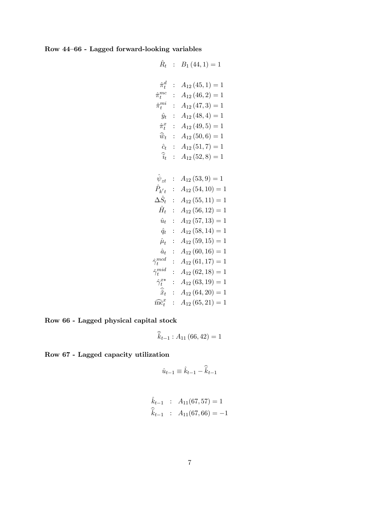Row 44—66 - Lagged forward-looking variables

$$
\hat{R}_t : B_1(44, 1) = 1
$$
\n
$$
\hat{\pi}_t^{dc} : A_{12}(45, 1) = 1
$$
\n
$$
\hat{\pi}_t^{mc} : A_{12}(46, 2) = 1
$$
\n
$$
\hat{\pi}_t^{mi} : A_{12}(47, 3) = 1
$$
\n
$$
\hat{\pi}_t^{x} : A_{12}(48, 4) = 1
$$
\n
$$
\hat{\pi}_t^{x} : A_{12}(49, 5) = 1
$$
\n
$$
\hat{\omega}_t : A_{12}(50, 6) = 1
$$
\n
$$
\hat{\epsilon}_t : A_{12}(51, 7) = 1
$$
\n
$$
\hat{\epsilon}_t : A_{12}(52, 8) = 1
$$
\n
$$
\hat{\psi}_{zt} : A_{12}(54, 10) = 1
$$
\n
$$
\hat{P}_{k't} : A_{12}(55, 11) = 1
$$
\n
$$
\hat{H}_t : A_{12}(56, 12) = 1
$$
\n
$$
\hat{H}_t : A_{12}(57, 13) = 1
$$
\n
$$
\hat{\mu}_t : A_{12}(58, 14) = 1
$$
\n
$$
\hat{\mu}_t : A_{12}(59, 15) = 1
$$
\n
$$
\hat{\mu}_t : A_{12}(60, 16) = 1
$$
\n
$$
\hat{\gamma}_t^{med} : A_{12}(61, 17) = 1
$$
\n
$$
\hat{\gamma}_t^{mid} : A_{12}(62, 18) = 1
$$
\n
$$
\hat{\pi}_t^{xx} : A_{12}(63, 19) = 1
$$
\n
$$
\hat{\pi}_t^{xx} : A_{12}(64, 20) = 1
$$
\n
$$
\hat{\pi}_t^{xx} : A_{12}(65, 21) = 1
$$

Row 66 - Lagged physical capital stock

$$
\widehat{\bar{k}}_{t-1}:A_{11}\left( 66,42\right) =1
$$

Row 67 - Lagged capacity utilization

$$
\hat{u}_{t-1} \equiv \hat{k}_{t-1} - \hat{\bar{k}}_{t-1}
$$

$$
\hat{k}_{t-1} : A_{11}(67, 57) = 1
$$
  

$$
\hat{\overline{k}}_{t-1} : A_{11}(67, 66) = -1
$$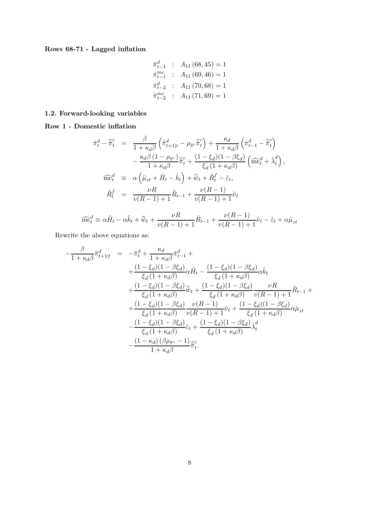Rows 68-71 - Lagged inflation

$$
\begin{aligned}\n\hat{\pi}_{t-1}^d &\; : \quad A_{11}(68, 45) = 1 \\
\hat{\pi}_{t-1}^m &\; : \quad A_{11}(69, 46) = 1 \\
\hat{\pi}_{t-2}^d &\; : \quad A_{11}(70, 68) = 1 \\
\hat{\pi}_{t-2}^m &\; : \quad A_{11}(71, 69) = 1\n\end{aligned}
$$

### 1.2. Forward-looking variables

Row 1 - Domestic inflation

$$
\hat{\pi}_t^d - \hat{\overline{\pi}}_t^c = \frac{\beta}{1 + \kappa_d \beta} \left( \hat{\pi}_{t+1|t}^d - \rho_{\overline{\pi}^c} \hat{\overline{\pi}}_t^c \right) + \frac{\kappa_d}{1 + \kappa_d \beta} \left( \hat{\pi}_{t-1}^d - \hat{\overline{\pi}}_t^c \right) \n- \frac{\kappa_d \beta (1 - \rho_{\overline{\pi}^c})}{1 + \kappa_d \beta} \hat{\overline{\pi}}_t^c + \frac{(1 - \xi_d)(1 - \beta \xi_d)}{\xi_d (1 + \kappa_d \beta)} \left( \widehat{\text{mc}}_t^d + \hat{\lambda}_t^d \right),
$$
\n
$$
\widehat{\text{mc}}_t^d \equiv \alpha \left( \hat{\mu}_{zt} + \hat{H}_t - \hat{k}_t \right) + \widehat{\overline{w}}_t + \hat{R}_t^f - \hat{\varepsilon}_t,
$$
\n
$$
\hat{R}_t^f = \frac{\nu R}{v(R-1) + 1} \hat{R}_{t-1} + \frac{\nu(R-1)}{v(R-1) + 1} \hat{\nu}_t
$$

$$
\widehat{\text{mc}}_t^d \equiv \alpha \widehat{H}_t - \alpha \widehat{k}_t + \widehat{\overline{w}}_t + \frac{\nu R}{v(R-1) + 1} \widehat{R}_{t-1} + \frac{\nu (R-1)}{v(R-1) + 1} \widehat{\nu}_t - \widehat{\varepsilon}_t + \alpha \widehat{\mu}_{zt}
$$

Rewrite the above equations as:

$$
-\frac{\beta}{1+\kappa_{d}\beta}\hat{\pi}_{t+1|t}^{d} = -\hat{\pi}_{t}^{d} + \frac{\kappa_{d}}{1+\kappa_{d}\beta}\hat{\pi}_{t-1}^{d} +\n+\frac{(1-\xi_{d})(1-\beta\xi_{d})}{\xi_{d}(1+\kappa_{d}\beta)}\alpha\hat{H}_{t} - \frac{(1-\xi_{d})(1-\beta\xi_{d})}{\xi_{d}(1+\kappa_{d}\beta)}\alpha\hat{k}_{t} \n+\frac{(1-\xi_{d})(1-\beta\xi_{d})}{\xi_{d}(1+\kappa_{d}\beta)}\hat{w}_{t} + \frac{(1-\xi_{d})(1-\beta\xi_{d})}{\xi_{d}(1+\kappa_{d}\beta)}\frac{\nu R}{v(R-1)+1}\hat{R}_{t-1} +\n+\frac{(1-\xi_{d})(1-\beta\xi_{d})}{\xi_{d}(1+\kappa_{d}\beta)}\frac{\nu(R-1)}{v(R-1)+1}\hat{\nu}_{t} + \frac{(1-\xi_{d})(1-\beta\xi_{d})}{\xi_{d}(1+\kappa_{d}\beta)}\alpha\hat{\mu}_{zt} \n-\frac{(1-\xi_{d})(1-\beta\xi_{d})}{\xi_{d}(1+\kappa_{d}\beta)}\hat{\varepsilon}_{t} + \frac{(1-\xi_{d})(1-\beta\xi_{d})}{\xi_{d}(1+\kappa_{d}\beta)}\hat{\lambda}_{t}^{d} \n-\frac{(1-\kappa_{d})(\beta\rho_{\overline{\pi}c}-1)}{1+\kappa_{d}\beta}\hat{\pi}_{t}^{c}.
$$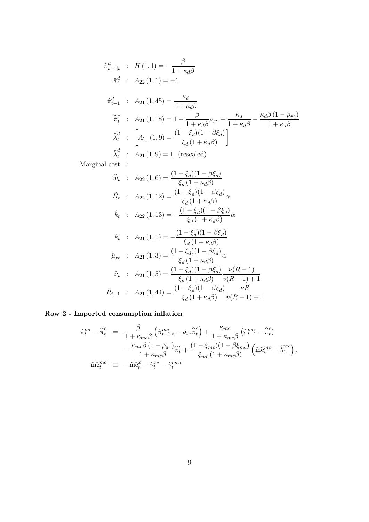$$
\hat{\pi}_{t+1|t}^{d} : H(1,1) = -\frac{\beta}{1 + \kappa_{d}\beta}
$$
\n
$$
\hat{\pi}_{t}^{d} : A_{22}(1,1) = -1
$$
\n
$$
\hat{\pi}_{t-1}^{d} : A_{21}(1,45) = \frac{\kappa_{d}}{1 + \kappa_{d}\beta}
$$
\n
$$
\hat{\pi}_{t}^{c} : A_{21}(1,18) = 1 - \frac{\beta}{1 + \kappa_{d}\beta} \rho_{\pi^{c}} - \frac{\kappa_{d}}{1 + \kappa_{d}\beta} - \frac{\kappa_{d}\beta (1 - \rho_{\pi^{c}})}{1 + \kappa_{d}\beta}
$$
\n
$$
\hat{\lambda}_{t}^{d} : [A_{21}(1,9) = \frac{(1 - \xi_{d})(1 - \beta \xi_{d})}{\xi_{d}(1 + \kappa_{d}\beta)}]
$$
\n
$$
\hat{\lambda}_{t}^{d} : A_{21}(1,9) = 1 \text{ (rescaled)}
$$
\nMarginal cost :

\n
$$
\hat{w}_{t} : A_{22}(1,6) = \frac{(1 - \xi_{d})(1 - \beta \xi_{d})}{\xi_{d}(1 + \kappa_{d}\beta)}
$$
\n
$$
\hat{H}_{t} : A_{22}(1,12) = \frac{(1 - \xi_{d})(1 - \beta \xi_{d})}{\xi_{d}(1 + \kappa_{d}\beta)} \alpha
$$
\n
$$
\hat{k}_{t} : A_{22}(1,13) = -\frac{(1 - \xi_{d})(1 - \beta \xi_{d})}{\xi_{d}(1 + \kappa_{d}\beta)} \alpha
$$
\n
$$
\hat{\varepsilon}_{t} : A_{21}(1,1) = -\frac{(1 - \xi_{d})(1 - \beta \xi_{d})}{\xi_{d}(1 + \kappa_{d}\beta)} \alpha
$$
\n
$$
\hat{\mu}_{zt} : A_{21}(1,3) = \frac{(1 - \xi_{d})(1 - \beta \xi_{d})}{\xi_{d}(1 + \kappa_{d}\beta)} \alpha
$$
\n
$$
\hat{\nu}_{t} : A_{21}(1,5) = \frac{(1 - \xi_{d})(1 - \beta \xi_{d})}{\xi_{d}(1 + \kappa_{d}\beta)} \frac{\nu(R - 1)}{\nu(R - 1) + 1}
$$
\n
$$
\hat{R}_{
$$

## Row 2 - Imported consumption inflation

$$
\hat{\pi}_{t}^{mc} - \hat{\overline{\pi}}_{t}^{c} = \frac{\beta}{1 + \kappa_{mc}\beta} \left( \hat{\pi}_{t+1|t}^{mc} - \rho_{\overline{\pi}^{c}} \hat{\overline{\pi}}_{t}^{c} \right) + \frac{\kappa_{mc}}{1 + \kappa_{mc}\beta} \left( \hat{\pi}_{t-1}^{mc} - \hat{\overline{\pi}}_{t}^{c} \right)
$$
\n
$$
- \frac{\kappa_{mc}\beta \left( 1 - \rho_{\overline{\pi}^{c}} \right)}{1 + \kappa_{mc}\beta} \hat{\overline{\pi}}_{t}^{c} + \frac{(1 - \xi_{mc})(1 - \beta \xi_{mc})}{\xi_{mc} \left( 1 + \kappa_{mc}\beta \right)} \left( \widehat{\text{mc}}_{t}^{mc} + \hat{\lambda}_{t}^{mc} \right),
$$
\n
$$
\widehat{\text{mc}}_{t}^{mc} \equiv -\widehat{\text{mc}}_{t}^{x} - \hat{\gamma}_{t}^{x*} - \hat{\gamma}_{t}^{mcd}
$$

 $v(R - 1) + 1$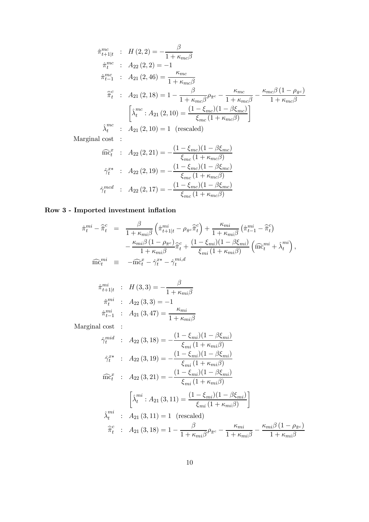$$
\hat{\pi}_{t+1|t}^{mc} : H(2,2) = -\frac{\beta}{1 + \kappa_{mc}\beta}
$$
\n
$$
\hat{\pi}_{t-1}^{mc} : A_{22}(2,2) = -1
$$
\n
$$
\hat{\pi}_{t-1}^{mc} : A_{21}(2,46) = \frac{\kappa_{mc}}{1 + \kappa_{mc}\beta}
$$
\n
$$
\hat{\bar{\pi}}_{t}^{c} : A_{21}(2,18) = 1 - \frac{\beta}{1 + \kappa_{mc}\beta} \rho_{\bar{\pi}^{c}} - \frac{\kappa_{mc}}{1 + \kappa_{mc}\beta} - \frac{\kappa_{mc}\beta (1 - \rho_{\bar{\pi}^{c}})}{1 + \kappa_{mc}\beta}
$$
\n
$$
\begin{bmatrix}\n\hat{\lambda}_{t}^{mc} : A_{21}(2,10) = \frac{(1 - \xi_{mc})(1 - \beta \xi_{mc})}{\xi_{mc}(1 + \kappa_{mc}\beta)}\n\end{bmatrix}
$$
\n
$$
\hat{\lambda}_{t}^{mc} : A_{21}(2,10) = 1 \text{ (rescaled)}
$$

Marginal cost :

$$
\widehat{\text{mc}}_t^x : A_{22}(2, 21) = -\frac{(1 - \xi_{mc})(1 - \beta \xi_{mc})}{\xi_{mc}(1 + \kappa_{mc}\beta)}
$$

$$
\widehat{\gamma}_t^{x*} : A_{22}(2, 19) = -\frac{(1 - \xi_{mc})(1 - \beta \xi_{mc})}{\xi_{mc}(1 + \kappa_{mc}\beta)}
$$

$$
\widehat{\gamma}_t^{mcd} : A_{22}(2, 17) = -\frac{(1 - \xi_{mc})(1 - \beta \xi_{mc})}{\xi_{mc}(1 + \kappa_{mc}\beta)}
$$

## Row 3 - Imported investment inflation

$$
\hat{\pi}_t^{mi} - \hat{\overline{\pi}}_t^c = \frac{\beta}{1 + \kappa_{mi}\beta} \left( \hat{\pi}_{t+1|t}^{mi} - \rho_{\overline{\pi}^c} \hat{\overline{\pi}}_t^c \right) + \frac{\kappa_{mi}}{1 + \kappa_{mi}\beta} \left( \hat{\pi}_{t-1}^{mi} - \hat{\overline{\pi}}_t^c \right) \n- \frac{\kappa_{mi}\beta (1 - \rho_{\overline{\pi}^c})}{1 + \kappa_{mi}\beta} \hat{\overline{\pi}}_t^c + \frac{(1 - \xi_{mi})(1 - \beta \xi_{mi})}{\xi_{mi} (1 + \kappa_{mi}\beta)} \left( \widehat{\text{mc}}_t^{mi} + \hat{\lambda}_t^{mi} \right), \n\widehat{\text{mc}}_t^{mi} \equiv -\widehat{\text{mc}}_t^x - \hat{\gamma}_t^{x*} - \hat{\gamma}_t^{mi,d}
$$

$$
\hat{\pi}_{t+1|t}^{mi} : H(3,3) = -\frac{\beta}{1 + \kappa_{mi}\beta}
$$

$$
\hat{\pi}_{t}^{mi} : A_{22}(3,3) = -1
$$

$$
\hat{\pi}_{t-1}^{mi} : A_{21}(3,47) = \frac{\kappa_{mi}}{1 + \kappa_{mi}\beta}
$$

Marginal cost :

$$
\hat{\gamma}_t^{mid} : A_{22}(3, 18) = -\frac{(1 - \xi_{mi})(1 - \beta \xi_{mi})}{\xi_{mi}(1 + \kappa_{mi}\beta)}
$$
\n
$$
\hat{\gamma}_t^{x*} : A_{22}(3, 19) = -\frac{(1 - \xi_{mi})(1 - \beta \xi_{mi})}{\xi_{mi}(1 + \kappa_{mi}\beta)}
$$
\n
$$
\widehat{\text{mc}}_t^x : A_{22}(3, 21) = -\frac{(1 - \xi_{mi})(1 - \beta \xi_{mi})}{\xi_{mi}(1 + \kappa_{mi}\beta)}
$$
\n
$$
\hat{\lambda}_t^{mi} : A_{21}(3, 11) = \frac{(1 - \xi_{mi})(1 - \beta \xi_{mi})}{\xi_{mi}(1 + \kappa_{mi}\beta)}
$$
\n
$$
\hat{\lambda}_t^{mi} : A_{21}(3, 11) = 1 \text{ (rescaled)}
$$
\n
$$
\widehat{\pi}_t^c : A_{21}(3, 18) = 1 - \frac{\beta}{1 + \kappa_{mi}\beta}\rho_{\bar{\pi}^c} - \frac{\kappa_{mi}}{1 + \kappa_{mi}\beta} - \frac{\kappa_{mi}\beta(1 - \rho_{\bar{\pi}^c})}{1 + \kappa_{mi}\beta}
$$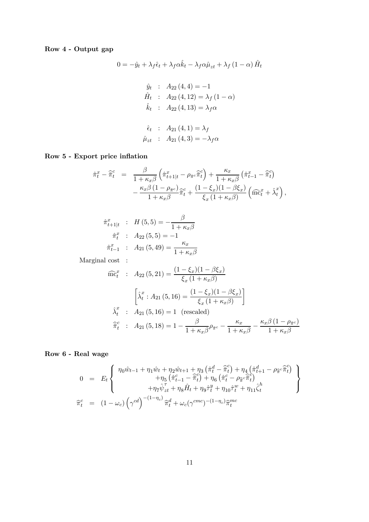### Row 4 - Output gap

$$
0 = -\hat{y}_t + \lambda_f \hat{\epsilon}_t + \lambda_f \alpha \hat{k}_t - \lambda_f \alpha \hat{\mu}_{zt} + \lambda_f (1 - \alpha) \hat{H}_t
$$
  

$$
\hat{y}_t : A_{22} (4, 4) = -1
$$
  

$$
\hat{H}_t : A_{22} (4, 12) = \lambda_f (1 - \alpha)
$$
  

$$
\hat{k}_t : A_{22} (4, 13) = \lambda_f \alpha
$$
  

$$
\hat{\epsilon}_t : A_{21} (4, 1) = \lambda_f
$$
  

$$
\hat{\mu}_{zt} : A_{21} (4, 3) = -\lambda_f \alpha
$$

Row 5 - Export price inflation

$$
\hat{\pi}_t^x - \hat{\overline{\pi}}_t^c = \frac{\beta}{1 + \kappa_x \beta} \left( \hat{\pi}_{t+1|t}^x - \rho_{\overline{\pi}^c} \hat{\overline{\pi}}_t^c \right) + \frac{\kappa_x}{1 + \kappa_x \beta} \left( \hat{\pi}_{t-1}^x - \hat{\overline{\pi}}_t^c \right) \n- \frac{\kappa_x \beta (1 - \rho_{\overline{\pi}^c})}{1 + \kappa_x \beta} \hat{\overline{\pi}}_t^c + \frac{(1 - \xi_x)(1 - \beta \xi_x)}{\xi_x (1 + \kappa_x \beta)} \left( \hat{\overline{\text{mc}}}^x_t + \hat{\lambda}_t^x \right),
$$

$$
\hat{\pi}_{t+1|t}^{x} : H(5,5) = -\frac{\beta}{1 + \kappa_x \beta}
$$

$$
\hat{\pi}_{t}^{x} : A_{22}(5,5) = -1
$$

$$
\hat{\pi}_{t-1}^{x} : A_{21}(5,49) = \frac{\kappa_x}{1 + \kappa_x \beta}
$$

Marginal cost :

$$
\widehat{\text{mc}}_t^x : A_{22}(5, 21) = \frac{(1 - \xi_x)(1 - \beta \xi_x)}{\xi_x (1 + \kappa_x \beta)}
$$

$$
\begin{bmatrix} \widehat{\lambda}_t^x : A_{21}(5, 16) = \frac{(1 - \xi_x)(1 - \beta \xi_x)}{\xi_x (1 + \kappa_x \beta)} \end{bmatrix}
$$

$$
\widehat{\lambda}_t^x : A_{21}(5, 16) = 1 \text{ (rescaled)}
$$

$$
\widehat{\pi}_t^c : A_{21}(5, 18) = 1 - \frac{\beta}{1 + \kappa_x \beta} \rho_{\overline{\pi}_c} - \frac{\kappa_x}{1 + \kappa_x \beta} - \frac{\kappa_x \beta (1 - \rho_{\overline{\pi}_c})}{1 + \kappa_x \beta}
$$

### Row 6 - Real wage

$$
0 = E_t \left\{ \begin{array}{l} \eta_0 \hat{w}_{t-1} + \eta_1 \hat{w}_t + \eta_2 \hat{w}_{t+1} + \eta_3 \left( \hat{\pi}_t^d - \hat{\bar{\pi}}_t^c \right) + \eta_4 \left( \hat{\pi}_{t+1}^d - \rho_{\hat{\pi}}^c \hat{\bar{\pi}}_t^c \right) \\ + \eta_5 \left( \hat{\pi}_{t-1}^c - \hat{\bar{\pi}}_t^c \right) + \eta_6 \left( \hat{\pi}_t^c - \rho_{\hat{\pi}}^c \hat{\bar{\pi}}_t^c \right) \\ + \eta_7 \hat{\psi}_{zt}^{\tau} + \eta_8 \hat{H}_t + \eta_9 \hat{\tau}_t^y + \eta_{10} \hat{\tau}_t^w + \eta_{11} \hat{\zeta}_t^h \end{array} \right\}
$$

$$
\hat{\pi}_t^c = (1 - \omega_c) \left( \gamma^{cd} \right)^{-(1 - \eta_c)} \hat{\pi}_t^d + \omega_c (\gamma^{cmc})^{-(1 - \eta_c)} \hat{\pi}_t^{mc}
$$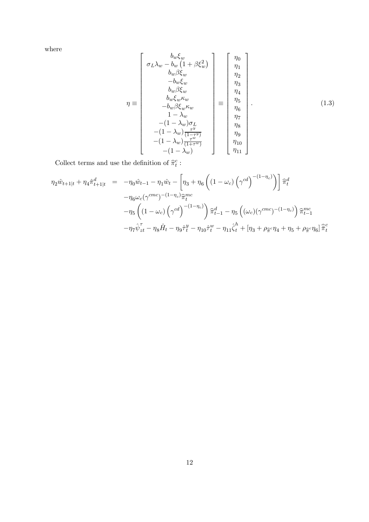where

$$
\eta \equiv \begin{bmatrix}\n b_w \xi_w \\
 \sigma_L \lambda_w - b_w (1 + \beta \xi_w^2) \\
 b_w \beta \xi_w \\
 - b_w \xi_w \\
 b_w \beta \xi_w \\
 b_w \beta \xi_w \kappa_w \\
 - b_w \beta \xi_w \kappa_w \\
 1 - \lambda_w \\
 - (1 - \lambda_w) \sigma_L \\
 - (1 - \lambda_w) \frac{\tau^y}{(1 - \tau^y)} \\
 - (1 - \lambda_w) \frac{\tau^w}{(1 + \tau^w)}\n\end{bmatrix} \equiv \begin{bmatrix}\n \eta_0 \\
 \eta_1 \\
 \eta_2 \\
 \eta_3 \\
 \eta_4 \\
 \eta_5 \\
 \eta_6 \\
 \eta_7 \\
 \eta_8 \\
 \eta_9 \\
 \eta_1 \\
 \eta_1 \\
 \eta_2 \\
 \eta_3 \\
 \eta_4 \\
 \eta_7 \\
 \eta_8 \\
 \eta_9 \\
 \eta_1 \\
 \eta_1 \\
 \eta_1 \\
 \eta_2 \\
 \eta_3 \\
 \eta_4 \\
 \eta_5 \\
 \eta_7 \\
 \eta_8 \\
 \eta_9 \\
 \eta_1 \\
 \eta_1 \\
 \eta_2 \\
 \eta_1 \\
 \eta_2 \\
 \eta_3 \\
 \eta_4 \\
 \eta_5 \\
 \eta_7 \\
 \eta_8 \\
 \eta_9 \\
 \eta_1 \\
 \eta_1 \\
 \eta_2 \\
 \eta_3 \\
 \eta_4 \\
 \eta_5 \\
 \eta_7 \\
 \eta_8 \\
 \eta_9 \\
 \eta_1 \\
 \eta_1 \\
 \eta_2 \\
 \eta_3 \\
 \eta_4 \\
 \eta_5 \\
 \eta_7 \\
 \eta_8 \\
 \eta_9 \\
 \eta_1 \\
 \eta_1 \\
 \eta_2 \\
 \eta_3 \\
 \eta_4 \\
 \eta_5 \\
 \eta_7 \\
 \eta_8 \\
 \eta_9 \\
 \eta_1 \\
 \eta_1 \\
 \eta_2 \\
 \eta_3 \\
 \eta_4 \\
 \eta_5 \\
 \eta_7 \\
 \eta_8 \\
 \eta_9 \\
 \eta_1 \\
 \eta_1 \\
 \eta_2 \\
 \eta_3 \\
 \eta_4 \\
 \eta_5 \\
 \eta_7 \\
 \eta_8 \\
 \eta_9 \\
 \eta_1 \\
 \eta_1 \\
 \eta_2 \\
 \eta_3 \\
 \eta_4 \\
 \eta_5 \\
 \eta_7 \\
 \eta_8 \\
 \eta_9 \\
 \eta_1 \\
 \eta_0 \\
 \eta_1 \\
 \eta_2 \\
 \eta_3 \\
 \eta_4 \\
 \eta_5 \\
 \eta_7 \\
 \eta_8 \\
 \eta_9 \\
 \eta_1 \\
 \eta_0 \\
 \eta_1 \\
 \eta_2 \\
 \eta_3 \\
 \eta_4 \\
 \eta_5 \\
 \eta_7 \\
 \eta_8 \\
 \eta_9 \\
 \eta_1 \\
 \eta_1 \\
 \eta_2 \\
 \eta_3 \\
 \eta_4 \\
 \
$$

Collect terms and use the definition of  $\widehat{\pi}_{t}^{c}$  :

$$
\eta_2 \hat{w}_{t+1|t} + \eta_4 \hat{\pi}_{t+1|t}^d = -\eta_0 \hat{w}_{t-1} - \eta_1 \hat{w}_t - \left[\eta_3 + \eta_6 \left( \left(1 - \omega_c \right) \left(\gamma^{cd}\right)^{-(1 - \eta_c)} \right) \right] \hat{\pi}_t^d
$$

$$
-\eta_6 \omega_c (\gamma^{cmc})^{-(1 - \eta_c)} \hat{\pi}_t^{mc}
$$

$$
-\eta_5 \left( \left(1 - \omega_c \right) \left(\gamma^{cd}\right)^{-(1 - \eta_c)} \right) \hat{\pi}_{t-1}^d - \eta_5 \left( \left(\omega_c \right) \left(\gamma^{cmc}\right)^{-(1 - \eta_c)} \right) \hat{\pi}_{t-1}^{mc}
$$

$$
-\eta_7 \hat{\psi}_{zt}^{\tau} - \eta_8 \hat{H}_t - \eta_9 \hat{\tau}_t^y - \eta_{10} \hat{\tau}_t^w - \eta_{11} \hat{\zeta}_t^h + \left[\eta_3 + \rho_{\hat{\pi}}^c \eta_4 + \eta_5 + \rho_{\hat{\pi}}^c \eta_6 \right] \hat{\pi}_t^c
$$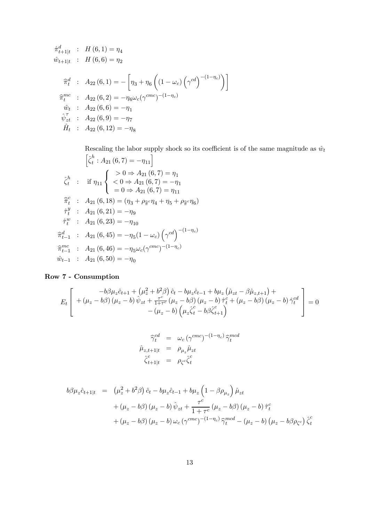$$
\hat{\pi}_{t+1|t}^{d} : H(6,1) = \eta_{4}
$$
\n
$$
\hat{w}_{t+1|t} : H(6,6) = \eta_{2}
$$
\n
$$
\hat{\pi}_{t}^{d} : A_{22}(6,1) = -\left[\eta_{3} + \eta_{6}\left((1-\omega_{c})\left(\gamma^{cd}\right)^{-(1-\eta_{c})}\right)\right]
$$
\n
$$
\hat{\pi}_{t}^{mc} : A_{22}(6,2) = -\eta_{6}\omega_{c}(\gamma^{cmc})^{-(1-\eta_{c})}
$$
\n
$$
\hat{w}_{t} : A_{22}(6,6) = -\eta_{1}
$$
\n
$$
\hat{\psi}_{zt}^{T} : A_{22}(6,9) = -\eta_{7}
$$
\n
$$
\hat{H}_{t} : A_{22}(6,12) = -\eta_{8}
$$

Rescaling the labor supply shock so its coefficient is of the same magnitude as  $\hat{w}_t$  $\left[\hat{\zeta}_{t}^{h}:A_{21}(6,7)=-\eta_{11}\right]$  $\hat{\zeta}_t^h$  : if  $\eta_{11}$  $\sqrt{ }$  $\frac{1}{2}$  $\mathsf{l}$  $> 0 \Rightarrow A_{21}(6, 7) = \eta_1$  $< 0 \Rightarrow A_{21} (6, 7) = -\eta_1$  $= 0 \Rightarrow A_{21} (6, 7) = \eta_{11}$  $\hat{\pi}_{t}^{c}$  :  $A_{21} (6, 18) = (\eta_{3} + \rho_{\hat{\pi}}^{c} \eta_{4} + \eta_{5} + \rho_{\hat{\pi}}^{c} \eta_{6})$  $\hat{\tau}_t^y$  :  $A_{21}(6, 21) = -\eta_9$  $\hat{\tau}_t^w$  :  $A_{21}(6, 23) = -\eta_{10}$  $\widehat{\pi}_{t-1}^d$  :  $A_{21} (6, 45) = -\eta_5 (1 - \omega_c) (\gamma^{cd})^{-(1 - \eta_c)}$  $\widehat{\pi}_{t-1}^{mc}$  :  $A_{21} (6, 46) = -\eta_5 \omega_c (\gamma^{cmc})^{-(1-\eta_c)}$  $\hat{w}_{t-1}$  :  $A_{21}(6,50) = -\eta_0$ 

#### Row 7 - Consumption

$$
E_{t}\left[\begin{array}{c} -b\beta\mu_{z}\hat{c}_{t+1} + \left(\mu_{z}^{2} + b^{2}\beta\right)\hat{c}_{t} - b\mu_{z}\hat{c}_{t-1} + b\mu_{z}\left(\hat{\mu}_{zt} - \beta\hat{\mu}_{z,t+1}\right) + \\ + \left(\mu_{z} - b\beta\right)\left(\mu_{z} - b\right)\hat{\psi}_{zt} + \frac{\tau^{c}}{1+\tau^{c}}\left(\mu_{z} - b\beta\right)\left(\mu_{z} - b\right)\hat{\tau}^{c}_{t} + \left(\mu_{z} - b\beta\right)\left(\mu_{z} - b\right)\hat{\gamma}^{cd}_{t} \\ - \left(\mu_{z} - b\right)\left(\mu_{z}\hat{\zeta}^{c}_{t} - b\beta\hat{\zeta}^{c}_{t+1}\right)\end{array}\right] = 0
$$

$$
\begin{aligned}\n\widehat{\gamma}_t^{cd} &= \omega_c (\gamma^{cmc})^{-(1-\eta_c)} \widehat{\gamma}_t^{mcd} \\
\widehat{\mu}_{z,t+1|t} &= \rho_{\mu_z} \widehat{\mu}_{zt} \\
\widehat{\zeta}_{t+1|t}^{c} &= \rho_{\zeta^c} \widehat{\zeta}_t^{c}\n\end{aligned}
$$

$$
b\beta\mu_z \hat{c}_{t+1|t} = (\mu_z^2 + b^2\beta)\hat{c}_t - b\mu_z \hat{c}_{t-1} + b\mu_z \left(1 - \beta \rho_{\mu_z}\right)\hat{\mu}_{zt} + (\mu_z - b\beta)(\mu_z - b)\hat{\psi}_{zt} + \frac{\tau^c}{1 + \tau^c}(\mu_z - b\beta)(\mu_z - b)\hat{\tau}_t^c + (\mu_z - b\beta)(\mu_z - b)\omega_c(\gamma^{cmc})^{-(1 - \eta_c)}\hat{\gamma}_t^{med} - (\mu_z - b)(\mu_z - b\beta\rho_{\zeta^c})\hat{\zeta}_t^c
$$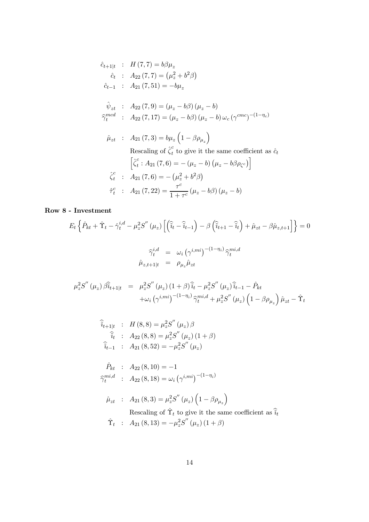$$
\hat{c}_{t+1|t} : H(7,7) = b\beta\mu_z \n\hat{c}_t : A_{22}(7,7) = (\mu_z^2 + b^2\beta) \n\hat{c}_{t-1} : A_{21}(7,51) = -b\mu_z \n\hat{\psi}_{zt} : A_{22}(7,9) = (\mu_z - b\beta)(\mu_z - b) \n\hat{\gamma}_t^{med} : A_{22}(7,17) = (\mu_z - b\beta)(\mu_z - b)\omega_c(\gamma^{cmc})^{-(1-\eta_c)} \n\hat{\mu}_{zt} : A_{21}(7,3) = b\mu_z(1-\beta\rho_{\mu_z}) \n\text{Rescaling of } \hat{\zeta}_t^c \text{ to give it the same coefficient as } \hat{c}_t \n\left[\hat{\zeta}_t^c : A_{21}(7,6) = -(\mu_z - b)(\mu_z - b\beta\rho_{\zeta^c})\right] \n\hat{\zeta}_t^c : A_{21}(7,6) = -(\mu_z^2 + b^2\beta) \n\hat{\tau}_t^c : A_{21}(7,22) = \frac{\tau^c}{1+\tau^c}(\mu_z - b\beta)(\mu_z - b)
$$

## Row 8 - Investment

$$
E_t \left\{ \hat{P}_{kt} + \hat{\Upsilon}_t - \hat{\gamma}_t^{i,d} - \mu_z^2 S'' \left( \mu_z \right) \left[ \left( \hat{\tilde{i}}_t - \hat{\tilde{i}}_{t-1} \right) - \beta \left( \hat{\tilde{i}}_{t+1} - \hat{\tilde{i}}_t \right) + \hat{\mu}_{zt} - \beta \hat{\mu}_{z,t+1} \right] \right\} = 0
$$

$$
\hat{\gamma}_t^{i,d} = \omega_i \left( \gamma^{i,mi} \right)^{-(1-\eta_i)} \hat{\gamma}_t^{mi,d}
$$

$$
\hat{\mu}_{z,t+1|t} = \rho_{\mu_z} \hat{\mu}_{zt}
$$

$$
\mu_z^2 S''(\mu_z) \hat{\beta t}_{+1|t} = \mu_z^2 S''(\mu_z) (1+\beta) \hat{i}_t - \mu_z^2 S''(\mu_z) \hat{i}_{t-1} - \hat{P}_{kt} \n+ \omega_i (\gamma^{i,mi})^{-(1-\eta_i)} \hat{\gamma}_t^{mi,d} + \mu_z^2 S''(\mu_z) (1-\beta \rho_{\mu_z}) \hat{\mu}_{zt} - \hat{T}_t
$$

$$
\hat{i}_{t+1|t} : H(8,8) = \mu_z^2 S''(\mu_z) \beta
$$
  
\n
$$
\hat{i}_t : A_{22}(8,8) = \mu_z^2 S''(\mu_z) (1 + \beta)
$$
  
\n
$$
\hat{i}_{t-1} : A_{21}(8,52) = -\mu_z^2 S''(\mu_z)
$$

$$
\hat{P}_{kt} : A_{22}(8, 10) = -1
$$
\n
$$
\hat{\gamma}_t^{mi,d} : A_{22}(8, 18) = \omega_i (\gamma^{i, mi})^{-(1 - \eta_i)}
$$

$$
\hat{\mu}_{zt} : A_{21}(8,3) = \mu_z^2 S''(\mu_z) \left(1 - \beta \rho_{\mu_z}\right)
$$
  
Rescaling of  $\hat{\Upsilon}_t$  to give it the same coefficient as  $\hat{\tilde{u}}_t$   
 $\hat{\Upsilon}_t : A_{21}(8,13) = -\mu_z^2 S''(\mu_z) (1 + \beta)$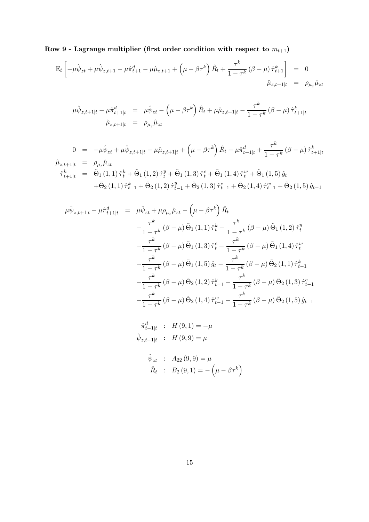Row 9 - Lagrange multiplier (first order condition with respect to  $m_{t+1}$ )

$$
\mathbf{E}_{t} \left[ -\mu \hat{\psi}_{zt} + \mu \hat{\psi}_{z,t+1} - \mu \hat{\pi}_{t+1}^{d} - \mu \hat{\mu}_{z,t+1} + \left( \mu - \beta \tau^{k} \right) \hat{R}_{t} + \frac{\tau^{k}}{1 - \tau^{k}} \left( \beta - \mu \right) \hat{\tau}_{t+1}^{k} \right] = 0
$$
  

$$
\hat{\mu}_{z,t+1|t} = \rho_{\mu_{z}} \hat{\mu}_{zt}
$$

$$
\mu \hat{\psi}_{z,t+1|t} - \mu \hat{\pi}_{t+1|t}^d = \mu \hat{\psi}_{zt} - \left(\mu - \beta \tau^k\right) \hat{R}_t + \mu \hat{\mu}_{z,t+1|t} - \frac{\tau^k}{1 - \tau^k} \left(\beta - \mu\right) \hat{\tau}_{t+1|t}^k
$$

$$
\hat{\mu}_{z,t+1|t} = \rho_{\mu_z} \hat{\mu}_{zt}
$$

$$
0 = -\mu \hat{\psi}_{zt} + \mu \hat{\psi}_{z,t+1|t} - \mu \hat{\mu}_{z,t+1|t} + \left(\mu - \beta \tau^k\right) \hat{R}_t - \mu \hat{\pi}_{t+1|t}^d + \frac{\tau^k}{1 - \tau^k} \left(\beta - \mu\right) \hat{\tau}_{t+1|t}^k
$$
  
\n
$$
\hat{\tau}_{t+1|t}^k = \tilde{\Theta}_1(1,1) \hat{\tau}_t^k + \tilde{\Theta}_1(1,2) \hat{\tau}_t^y + \tilde{\Theta}_1(1,3) \hat{\tau}_t^c + \tilde{\Theta}_1(1,4) \hat{\tau}_t^w + \tilde{\Theta}_1(1,5) \hat{g}_t
$$
  
\n
$$
+ \tilde{\Theta}_2(1,1) \hat{\tau}_{t-1}^k + \tilde{\Theta}_2(1,2) \hat{\tau}_{t-1}^y + \tilde{\Theta}_2(1,3) \hat{\tau}_{t-1}^c + \tilde{\Theta}_2(1,4) \hat{\tau}_{t-1}^w + \tilde{\Theta}_2(1,5) \hat{g}_{t-1}
$$

$$
\mu \hat{\psi}_{z,t+1|t} - \mu \hat{\pi}_{t+1|t}^{d} = \mu \hat{\psi}_{zt} + \mu \rho_{\mu_{z}} \hat{\mu}_{zt} - \left(\mu - \beta \tau^{k}\right) \hat{R}_{t}
$$
  

$$
- \frac{\tau^{k}}{1 - \tau^{k}} \left(\beta - \mu\right) \tilde{\Theta}_{1} (1, 1) \hat{\tau}_{t}^{k} - \frac{\tau^{k}}{1 - \tau^{k}} \left(\beta - \mu\right) \tilde{\Theta}_{1} (1, 2) \hat{\tau}_{t}^{y}
$$
  

$$
- \frac{\tau^{k}}{1 - \tau^{k}} \left(\beta - \mu\right) \tilde{\Theta}_{1} (1, 3) \hat{\tau}_{t}^{c} - \frac{\tau^{k}}{1 - \tau^{k}} \left(\beta - \mu\right) \tilde{\Theta}_{1} (1, 4) \hat{\tau}_{t}^{w}
$$
  

$$
- \frac{\tau^{k}}{1 - \tau^{k}} \left(\beta - \mu\right) \tilde{\Theta}_{1} (1, 5) \hat{g}_{t} - \frac{\tau^{k}}{1 - \tau^{k}} \left(\beta - \mu\right) \tilde{\Theta}_{2} (1, 1) \hat{\tau}_{t-1}^{k}
$$
  

$$
- \frac{\tau^{k}}{1 - \tau^{k}} \left(\beta - \mu\right) \tilde{\Theta}_{2} (1, 2) \hat{\tau}_{t-1}^{y} - \frac{\tau^{k}}{1 - \tau^{k}} \left(\beta - \mu\right) \tilde{\Theta}_{2} (1, 3) \hat{\tau}_{t-1}^{c}
$$
  

$$
- \frac{\tau^{k}}{1 - \tau^{k}} \left(\beta - \mu\right) \tilde{\Theta}_{2} (1, 4) \hat{\tau}_{t-1}^{w} - \frac{\tau^{k}}{1 - \tau^{k}} \left(\beta - \mu\right) \tilde{\Theta}_{2} (1, 5) \hat{g}_{t-1}
$$

$$
\hat{\pi}_{t+1|t}^{d} : H(9,1) = -\mu
$$
  

$$
\hat{\psi}_{z,t+1|t} : H(9,9) = \mu
$$
  

$$
\hat{\psi}_{zt} : A_{22}(9,9) = \mu
$$
  

$$
\hat{R}_{t} : B_{2}(9,1) = -(\mu - \beta \tau^{k})
$$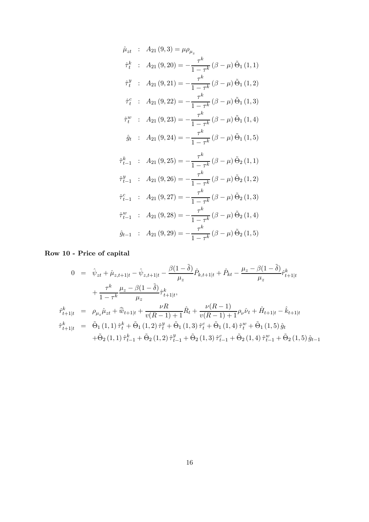$$
\hat{\mu}_{zt} : A_{21}(9,3) = \mu \rho_{\mu_z}
$$
\n
$$
\hat{\tau}_t^k : A_{21}(9,20) = -\frac{\tau^k}{1-\tau^k} (\beta - \mu) \tilde{\Theta}_1 (1,1)
$$
\n
$$
\hat{\tau}_t^y : A_{21}(9,21) = -\frac{\tau^k}{1-\tau^k} (\beta - \mu) \tilde{\Theta}_1 (1,2)
$$
\n
$$
\hat{\tau}_t^c : A_{21}(9,22) = -\frac{\tau^k}{1-\tau^k} (\beta - \mu) \tilde{\Theta}_1 (1,3)
$$
\n
$$
\hat{\tau}_t^w : A_{21}(9,23) = -\frac{\tau^k}{1-\tau^k} (\beta - \mu) \tilde{\Theta}_1 (1,4)
$$
\n
$$
\hat{g}_t : A_{21}(9,24) = -\frac{\tau^k}{1-\tau^k} (\beta - \mu) \tilde{\Theta}_1 (1,5)
$$
\n
$$
\hat{\tau}_{t-1}^k : A_{21}(9,25) = -\frac{\tau^k}{1-\tau^k} (\beta - \mu) \tilde{\Theta}_2 (1,1)
$$
\n
$$
\hat{\tau}_{t-1}^y : A_{21}(9,26) = -\frac{\tau^k}{1-\tau^k} (\beta - \mu) \tilde{\Theta}_2 (1,2)
$$
\n
$$
\hat{\tau}_{t-1}^c : A_{21}(9,27) = -\frac{\tau^k}{1-\tau^k} (\beta - \mu) \tilde{\Theta}_2 (1,3)
$$
\n
$$
\hat{\tau}_{t-1}^w : A_{21}(9,28) = -\frac{\tau^k}{1-\tau^k} (\beta - \mu) \tilde{\Theta}_2 (1,4)
$$
\n
$$
\hat{g}_{t-1} : A_{21}(9,29) = -\frac{\tau^k}{1-\tau^k} (\beta - \mu) \tilde{\Theta}_2 (1,5)
$$

### Row 10 - Price of capital

$$
0 = \hat{\psi}_{zt} + \hat{\mu}_{z,t+1|t} - \hat{\psi}_{z,t+1|t} - \frac{\beta(1-\tilde{\delta})}{\mu_{z}} \hat{P}_{k,t+1|t} + \hat{P}_{kt} - \frac{\mu_{z} - \beta(1-\tilde{\delta})}{\mu_{z}} \hat{r}_{t+1|t}^{k} + \frac{\tau^{k}}{1-\tau^{k}} \frac{\mu_{z} - \beta(1-\tilde{\delta})}{\mu_{z}} \hat{\tau}_{t+1|t}^{k},
$$
  

$$
\hat{r}_{t+1|t}^{k} = \rho_{\mu_{z}} \hat{\mu}_{zt} + \hat{\overline{w}}_{t+1|t} + \frac{\nu R}{\nu (R-1) + 1} \hat{R}_{t} + \frac{\nu (R-1)}{\nu (R-1) + 1} \rho_{\nu} \hat{\nu}_{t} + \hat{H}_{t+1|t} - \hat{k}_{t+1|t}
$$
  

$$
\hat{r}_{t+1|t}^{k} = \tilde{\Theta}_{1}(1,1) \hat{\tau}_{t}^{k} + \tilde{\Theta}_{1}(1,2) \hat{\tau}_{t}^{y} + \tilde{\Theta}_{1}(1,3) \hat{\tau}_{t}^{c} + \tilde{\Theta}_{1}(1,4) \hat{\tau}_{t}^{w} + \tilde{\Theta}_{1}(1,5) \hat{g}_{t} + \tilde{\Theta}_{2}(1,1) \hat{\tau}_{t-1}^{k} + \tilde{\Theta}_{2}(1,2) \hat{\tau}_{t-1}^{y} + \tilde{\Theta}_{2}(1,3) \hat{\tau}_{t-1}^{c} + \tilde{\Theta}_{2}(1,4) \hat{\tau}_{t-1}^{w} + \tilde{\Theta}_{2}(1,5) \hat{g}_{t-1}
$$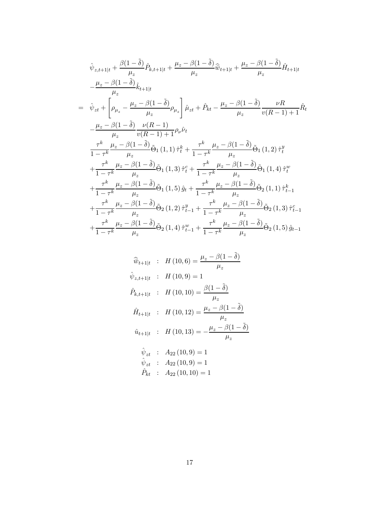$$
\hat{\psi}_{z,t+1|t} + \frac{\beta(1-\tilde{\delta})}{\mu_z} \hat{P}_{k,t+1|t} + \frac{\mu_z - \beta(1-\tilde{\delta})}{\mu_z} \hat{\bar{w}}_{t+1|t} + \frac{\mu_z - \beta(1-\tilde{\delta})}{\mu_z} \hat{H}_{t+1|t}
$$
\n
$$
-\frac{\mu_z - \beta(1-\tilde{\delta})}{\mu_z} \hat{k}_{t+1|t}
$$
\n
$$
= \hat{\psi}_{zt} + \left[\rho_{\mu_z} - \frac{\mu_z - \beta(1-\tilde{\delta})}{\mu_z} \rho_{\mu_z}\right] \hat{\mu}_{zt} + \hat{P}_{kt} - \frac{\mu_z - \beta(1-\tilde{\delta})}{\mu_z} \frac{\nu R}{v(R-1) + 1} \hat{R}_t
$$
\n
$$
-\frac{\mu_z - \beta(1-\tilde{\delta})}{\mu_z} \frac{\nu (R-1)}{v(R-1) + 1} \rho_{\nu} \hat{\nu}_t
$$
\n
$$
\frac{\tau^k}{1-\tau^k} \frac{\mu_z - \beta(1-\tilde{\delta})}{\mu_z} \hat{\Theta}_1(1,1) \hat{\tau}_t^k + \frac{\tau^k}{1-\tau^k} \frac{\mu_z - \beta(1-\tilde{\delta})}{\mu_z} \hat{\Theta}_1(1,2) \hat{\tau}_t^y + \frac{\tau^k}{1-\tau^k} \frac{\mu_z - \beta(1-\tilde{\delta})}{\mu_z} \hat{\Theta}_1(1,3) \hat{\tau}_t^c + \frac{\tau^k}{1-\tau^k} \frac{\mu_z - \beta(1-\tilde{\delta})}{\mu_z} \hat{\Theta}_1(1,4) \hat{\tau}_t^w + \frac{\tau^k}{1-\tau^k} \frac{\mu_z - \beta(1-\tilde{\delta})}{\mu_z} \hat{\Theta}_2(1,1) \hat{\tau}_{t-1}^k + \frac{\tau^k}{1-\tau^k} \frac{\mu_z - \beta(1-\tilde{\delta})}{\mu_z} \hat{\Theta}_2(1,3) \hat{\tau}_{t-1}^c + \frac{\tau^k}{1-\tau^k} \frac{\mu_z - \beta(1-\tilde{\delta})}{\mu_z} \hat{\Theta}_2(1,4) \hat{\tau}_{t-1}^w + \frac{\tau^k}{1-\tau^k} \frac{\mu_z - \beta(1-\tilde{\delta})}{\mu_z} \
$$

$$
\widehat{w}_{t+1|t} : H(10,6) = \frac{\mu_z - \beta(1 - \tilde{\delta})}{\mu_z}
$$
\n
$$
\widehat{\psi}_{z,t+1|t} : H(10,9) = 1
$$
\n
$$
\widehat{P}_{k,t+1|t} : H(10,10) = \frac{\beta(1 - \tilde{\delta})}{\mu_z}
$$
\n
$$
\widehat{H}_{t+1|t} : H(10,12) = \frac{\mu_z - \beta(1 - \tilde{\delta})}{\mu_z}
$$
\n
$$
\widehat{u}_{t+1|t} : H(10,13) = -\frac{\mu_z - \beta(1 - \tilde{\delta})}{\mu_z}
$$
\n
$$
\widehat{\psi}_{zt} : A_{22}(10,9) = 1
$$
\n
$$
\widehat{\psi}_{zt} : A_{22}(10,10) = 1
$$
\n
$$
\widehat{P}_{kt} : A_{22}(10,10) = 1
$$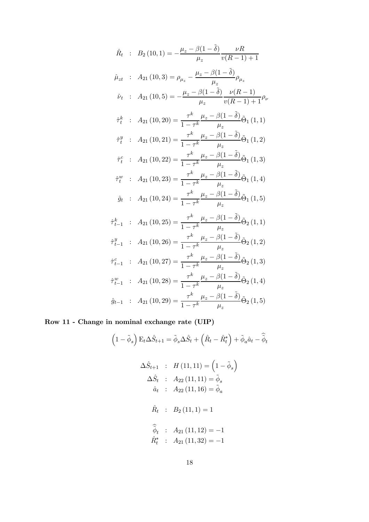$$
\hat{R}_t : B_2(10,1) = -\frac{\mu_z - \beta(1-\tilde{\delta})}{\mu_z} \frac{\nu R}{v(R-1)+1}
$$
\n
$$
\hat{\mu}_{zt} : A_{21}(10,3) = \rho_{\mu_z} - \frac{\mu_z - \beta(1-\tilde{\delta})}{\mu_z} \rho_{\mu_z}
$$
\n
$$
\hat{\nu}_t : A_{21}(10,5) = -\frac{\mu_z - \beta(1-\tilde{\delta})}{\mu_z} \frac{\nu(R-1)}{v(R-1)+1} \rho_{\nu_z}
$$
\n
$$
\hat{\tau}_t^k : A_{21}(10,20) = \frac{\tau^k}{1-\tau^k} \frac{\mu_z - \beta(1-\tilde{\delta})}{\mu_z} \tilde{\Theta}_1(1,1)
$$
\n
$$
\hat{\tau}_t^y : A_{21}(10,21) = \frac{\tau^k}{1-\tau^k} \frac{\mu_z - \beta(1-\tilde{\delta})}{\mu_z} \tilde{\Theta}_1(1,2)
$$
\n
$$
\hat{\tau}_t^c : A_{21}(10,22) = \frac{\tau^k}{1-\tau^k} \frac{\mu_z - \beta(1-\tilde{\delta})}{\mu_z} \tilde{\Theta}_1(1,3)
$$
\n
$$
\hat{\tau}_t^w : A_{21}(10,23) = \frac{\tau^k}{1-\tau^k} \frac{\mu_z - \beta(1-\tilde{\delta})}{\mu_z} \tilde{\Theta}_1(1,4)
$$
\n
$$
\hat{g}_t : A_{21}(10,24) = \frac{\tau^k}{1-\tau^k} \frac{\mu_z - \beta(1-\tilde{\delta})}{\mu_z} \tilde{\Theta}_1(1,5)
$$
\n
$$
\hat{\tau}_{t-1}^k : A_{21}(10,25) = \frac{\tau^k}{1-\tau^k} \frac{\mu_z - \beta(1-\tilde{\delta})}{\mu_z} \tilde{\Theta}_2(1,1)
$$
\n
$$
\hat{\tau}_{t-1}^y : A_{21}(10,26) = \frac{\tau^k}{1-\tau^k} \frac{\mu_z - \beta(1-\tilde{\delta})}{\mu_z} \tilde{\Theta}_2(1,3)
$$
\n
$$
\hat{\tau}_{t-1}^v : A_{21}(10,27) = \frac{\tau^k}{1-\tau^k}
$$

Row 11 - Change in nominal exchange rate (UIP)

$$
(1 - \tilde{\phi}_s) \mathbf{E}_t \Delta \hat{S}_{t+1} = \tilde{\phi}_s \Delta \hat{S}_t + (\hat{R}_t - \hat{R}_t^*) + \tilde{\phi}_a \hat{a}_t - \hat{\tilde{\phi}}_t
$$
  

$$
\Delta \hat{S}_{t+1} : H (11, 11) = (1 - \tilde{\phi}_s)
$$
  

$$
\Delta \hat{S}_t : A_{22} (11, 11) = \tilde{\phi}_s
$$
  

$$
\hat{a}_t : A_{22} (11, 16) = \tilde{\phi}_a
$$
  

$$
\hat{R}_t : B_2 (11, 1) = 1
$$
  

$$
\hat{\tilde{\phi}}_t : A_{21} (11, 12) = -1
$$
  

$$
\hat{R}_t^* : A_{21} (11, 32) = -1
$$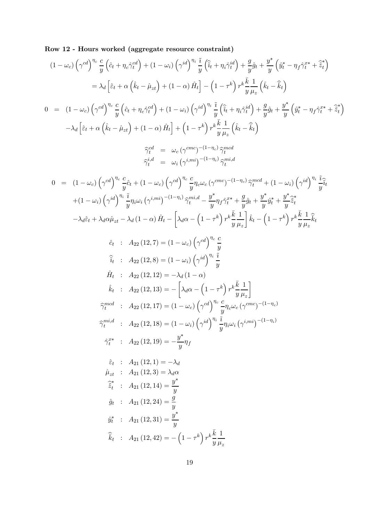Row 12 - Hours worked (aggregate resource constraint)

$$
(1 - \omega_c) \left(\gamma^{cd}\right)^{n_c} \frac{c}{y} \left(\hat{c}_t + \eta_c \hat{\gamma}_t^{cd}\right) + (1 - \omega_i) \left(\gamma^{id}\right)^{n_i} \frac{i}{y} \left(\hat{i}_t + \eta_t \hat{\gamma}_t^{id}\right) + \frac{g}{y} \hat{g}_t + \frac{y^4}{y} \left(\hat{g}_t^2 - \eta_f \hat{\gamma}_t^{a*} + \hat{z}_t^2\right)
$$
\n
$$
= \lambda_d \left[\hat{\epsilon}_t + \alpha \left(\hat{k}_t - \hat{\mu}_{zt}\right) + (1 - \alpha) \hat{H}_t\right] - \left(1 - \tau^k\right) r^k \frac{k}{y} \frac{1}{\mu_z} \left(\hat{k}_t - \hat{\hat{k}}_t\right)
$$
\n
$$
0 = (1 - \omega_c) \left(\gamma^{cd}\right)^{n_c} \frac{c}{y} \left(\hat{c}_t + \eta_c \hat{\gamma}_t^{cd}\right) + (1 - \omega_i) \left(\gamma^{id}\right)^{n_c} \frac{i}{y} \left(\hat{i}_t + \eta_c \hat{\gamma}_t^{id}\right) + \frac{g}{y} \hat{g}_t + \frac{y^4}{y} \left(\hat{g}_t^4 - \eta_f \hat{\gamma}_t^{a*} + \hat{\hat{z}}_t^4\right)
$$
\n
$$
- \lambda_d \left[\hat{\epsilon}_t + \alpha \left(\hat{k}_t - \hat{\mu}_{zt}\right) + (1 - \alpha) \hat{H}_t\right] + \left(1 - \tau^k\right) r^k \frac{k}{y} \frac{1}{\mu_z} \left(\hat{k}_t - \hat{\hat{k}}_t\right)
$$
\n
$$
\hat{\gamma}_t^{cd} = -\omega_c \left(\gamma^{cmc} - (1 - \omega_c) \gamma_{\text{pred}}\right)
$$
\n
$$
0 = (1 - \omega_c) \left(\gamma^{cd}\right)^{n_c} \frac{c}{y} \hat{q}_t + (1 - \omega_c) \left(\gamma^{cd}\right)^{n_c} \frac{c}{y} \eta_{\text{pred}} - (1 - \eta_c) \gamma_{\text{pred}}^{cnd}
$$
\n
$$
+ (1 - \omega_i) \left(\gamma^{cd}\right)^{n_c} \frac{\hat{g}_t}{y} \frac{c}{y} + (1 - \omega_c) \left(\gamma^{cd}\right)^
$$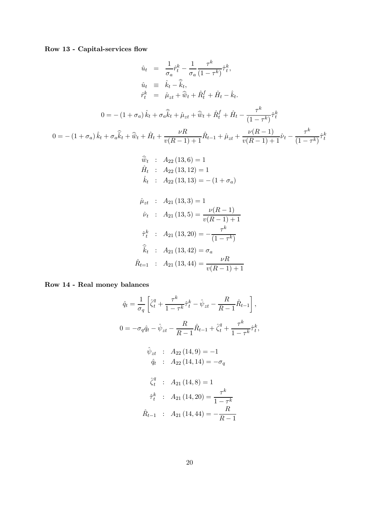Row 13 - Capital-services flow

$$
\hat{u}_t = \frac{1}{\sigma_a} \hat{r}_t^k - \frac{1}{\sigma_a} \frac{\tau^k}{(1 - \tau^k)} \hat{r}_t^k,
$$
\n
$$
\hat{u}_t = \hat{k}_t - \hat{\hat{k}}_t,
$$
\n
$$
\hat{r}_t^k = \hat{\mu}_{zt} + \hat{w}_t + \hat{R}_t^f + \hat{H}_t - \hat{k}_t.
$$
\n
$$
0 = -(1 + \sigma_a) \hat{k}_t + \sigma_a \hat{k}_t + \hat{\mu}_{zt} + \hat{w}_t + \hat{R}_t^f + \hat{H}_t - \frac{\tau^k}{(1 - \tau^k)} \hat{\tau}_t^k
$$
\n
$$
0 = -(1 + \sigma_a) \hat{k}_t + \sigma_a \hat{k}_t + \hat{H}_t + \frac{\nu R}{\nu (R - 1) + 1} \hat{R}_{t-1} + \hat{\mu}_{zt} + \frac{\nu (R - 1)}{\nu (R - 1) + 1} \hat{\nu}_t - \frac{\tau^k}{(1 - \tau^k)} \hat{\tau}_t^k
$$
\n
$$
\hat{\hat{w}}_t : A_{22} (13, 6) = 1
$$
\n
$$
\hat{H}_t : A_{22} (13, 12) = 1
$$
\n
$$
\hat{k}_t : A_{22} (13, 13) = -(1 + \sigma_a)
$$
\n
$$
\hat{\mu}_{zt} : A_{21} (13, 3) = 1
$$
\n
$$
\hat{\nu}_t : A_{21} (13, 5) = \frac{\nu (R - 1)}{\nu (R - 1) + 1}
$$
\n
$$
\hat{\tau}_t^k : A_{21} (13, 20) = -\frac{\tau^k}{(1 - \tau^k)}
$$
\n
$$
\hat{k}_t : A_{21} (13, 20) = \sigma_a
$$
\n
$$
\hat{R}_{t=1} : A_{21} (13, 44) = \frac{\nu R}{\nu (R - 1) + 1}
$$

Row 14 - Real money balances

$$
\hat{q}_t = \frac{1}{\sigma_q} \left[ \hat{\zeta}_t^q + \frac{\tau^k}{1 - \tau^k} \hat{\tau}_t^k - \hat{\psi}_{zt} - \frac{R}{R - 1} \hat{R}_{t-1} \right],
$$
  

$$
0 = -\sigma_q \hat{q}_t - \hat{\psi}_{zt} - \frac{R}{R - 1} \hat{R}_{t-1} + \hat{\zeta}_t^q + \frac{\tau^k}{1 - \tau^k} \hat{\tau}_t^k,
$$
  

$$
\hat{\psi}_{zt} \; : \; A_{22} (14, 9) = -1
$$
  

$$
\hat{q}_t \; : \; A_{22} (14, 14) = -\sigma_q
$$
  

$$
\hat{\zeta}_t^q \; : \; A_{21} (14, 8) = 1
$$
  

$$
\hat{\tau}_t^k \; : \; A_{21} (14, 20) = \frac{\tau^k}{1 - \tau^k}
$$
  

$$
\hat{R}_{t-1} \; : \; A_{21} (14, 44) = -\frac{R}{R - 1}
$$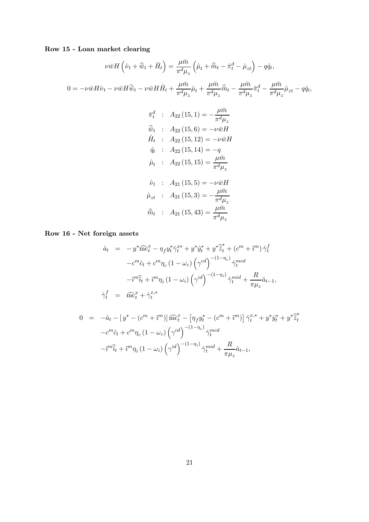### Row 15 - Loan market clearing

$$
\nu \bar{w} H \left( \hat{\nu}_t + \hat{\overline{w}}_t + \hat{H}_t \right) = \frac{\mu \bar{m}}{\pi^d \mu_z} \left( \hat{\mu}_t + \hat{\overline{m}}_t - \hat{\pi}_t^d - \hat{\mu}_{zt} \right) - q \hat{q}_t,
$$
  
\n
$$
0 = -\nu \bar{w} H \hat{\nu}_t - \nu \bar{w} H \hat{\overline{w}}_t - \nu \bar{w} H \hat{H}_t + \frac{\mu \bar{m}}{\pi^d \mu_z} \hat{\mu}_t + \frac{\mu \bar{m}}{\pi^d \mu_z} \hat{\overline{m}}_t - \frac{\mu \bar{m}}{\pi^d \mu_z} \hat{\pi}_t^d - \frac{\mu \bar{m}}{\pi^d \mu_z} \hat{\mu}_{zt} - q \hat{q}_t,
$$
  
\n
$$
\hat{\pi}_t^d : A_{22} (15, 1) = -\frac{\mu \bar{m}}{\pi^d \mu_z}
$$
  
\n
$$
\hat{\overline{w}}_t : A_{22} (15, 1) = -\nu \bar{w} H
$$
  
\n
$$
\hat{H}_t : A_{22} (15, 12) = -\nu \bar{w} H
$$
  
\n
$$
\hat{q}_t : A_{22} (15, 14) = -q
$$
  
\n
$$
\hat{\mu}_t : A_{22} (15, 15) = \frac{\mu \bar{m}}{\pi^d \mu_z}
$$
  
\n
$$
\hat{\nu}_t : A_{21} (15, 5) = -\nu \bar{w} H
$$

$$
\hat{\mu}_{zt} : A_{21} (15,3) = -\frac{\mu \bar{m}}{\pi^d \mu_z} \n\hat{\bar{m}}_t : A_{21} (15,43) = \frac{\mu \bar{m}}{\pi^d \mu_z}
$$

Row 16 - Net foreign assets

$$
\begin{aligned}\n\hat{a}_t &= -y^* \widehat{\text{mc}}_t^x - \eta_f y_t^* \hat{\gamma}_t^{x*} + y^* \hat{y}_t^* + y^* \widehat{\tilde{z}}_t^* + (c^m + \tilde{\imath}^m) \hat{\gamma}_t^f \\
-c^m \hat{c}_t + c^m \eta_c (1 - \omega_c) \left(\gamma^{cd}\right)^{-(1 - \eta_c)} \hat{\gamma}_t^{mcd} \\
-\tilde{\imath}^m \hat{\tilde{i}}_t + \tilde{\imath}^m \eta_i (1 - \omega_i) \left(\gamma^{id}\right)^{-(1 - \eta_i)} \hat{\gamma}_t^{mid} + \frac{R}{\pi \mu_z} \hat{a}_{t-1}, \\
\hat{\gamma}_t^f &= \widehat{\text{mc}}_t^x + \hat{\gamma}_t^{x,*}\n\end{aligned}
$$

$$
0 = -\hat{a}_t - \left[y^* - (c^m + \tilde{i}^m)\right] \widehat{\text{mc}}_t^x - \left[\eta_f y_t^* - (c^m + \tilde{i}^m)\right] \hat{\gamma}_t^{x,*} + y^* \hat{y}_t^* + y^* \hat{\tilde{z}}_t^*
$$

$$
-c^m \hat{c}_t + c^m \eta_c \left(1 - \omega_c\right) \left(\gamma^{cd}\right)^{-(1-\eta_c)} \hat{\gamma}_t^{mcd}
$$

$$
-\tilde{i}^m \hat{\tilde{i}}_t + \tilde{i}^m \eta_i \left(1 - \omega_i\right) \left(\gamma^{id}\right)^{-(1-\eta_i)} \hat{\gamma}_t^{mid} + \frac{R}{\pi \mu_z} \hat{a}_{t-1},
$$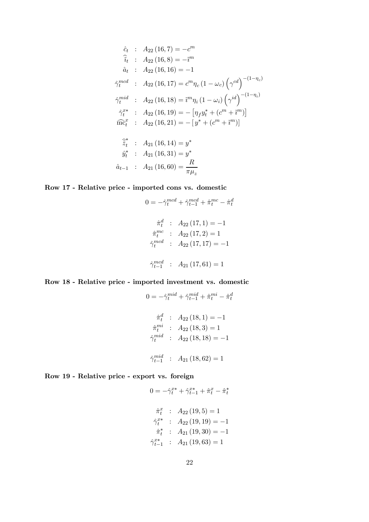$$
\hat{c}_t : A_{22} (16, 7) = -c^m
$$
\n
$$
\hat{i}_t : A_{22} (16, 8) = -\hat{i}^m
$$
\n
$$
\hat{a}_t : A_{22} (16, 16) = -1
$$
\n
$$
\hat{\gamma}_t^{med} : A_{22} (16, 17) = c^m \eta_c (1 - \omega_c) \left(\gamma^{cd}\right)^{-(1 - \eta_c)}
$$
\n
$$
\hat{\gamma}_t^{mid} : A_{22} (16, 18) = \hat{i}^m \eta_i (1 - \omega_i) \left(\gamma^{id}\right)^{-(1 - \eta_i)}
$$
\n
$$
\hat{\gamma}_t^{x*} : A_{22} (16, 19) = -\left[\eta_f y_t^* + (c^m + \hat{i}^m)\right]
$$
\n
$$
\widehat{\text{mc}}_t^x : A_{22} (16, 21) = -\left[y^* + (c^m + \hat{i}^m)\right]
$$
\n
$$
\widehat{\hat{z}}_t^* : A_{21} (16, 14) = y^*
$$
\n
$$
\hat{y}_t^* : A_{21} (16, 31) = y^*
$$
\n
$$
\hat{a}_{t-1} : A_{21} (16, 60) = \frac{R}{\pi \mu_z}
$$

### Row 17 - Relative price - imported cons vs. domestic

$$
0 = -\hat{\gamma}_t^{med} + \hat{\gamma}_{t-1}^{med} + \hat{\pi}_t^{mc} - \hat{\pi}_t^d
$$

$$
\hat{\pi}_t^d : A_{22} (17, 1) = -1
$$

$$
\hat{\pi}_t^{mc} : A_{22} (17, 2) = 1
$$

$$
\hat{\gamma}_t^{mcd} : A_{22} (17, 17) = -1
$$

$$
\hat{\gamma}_{t-1}^{mcd} : A_{21} (17, 61) = 1
$$

### Row 18 - Relative price - imported investment vs. domestic

$$
0 = -\hat{\gamma}_t^{mid} + \hat{\gamma}_{t-1}^{mid} + \hat{\pi}_t^{mi} - \hat{\pi}_t^d
$$

$$
\hat{\pi}_t^d : A_{22} (18, 1) = -1
$$

$$
\hat{\pi}_t^{mi} : A_{22} (18, 3) = 1
$$

$$
\hat{\gamma}_t^{mid} : A_{22} (18, 18) = -1
$$

$$
\hat{\gamma}_{t-1}^{mid} : A_{21} (18, 62) = 1
$$

### Row 19 - Relative price - export vs. foreign

$$
\begin{aligned}\n\hat{\pi}_t^x & \; : \; A_{22} \left( 19, 5 \right) = 1 \\
\hat{\gamma}_t^{x*} & \; : \; A_{22} \left( 19, 19 \right) = -1 \\
\hat{\pi}_t^* & \; : \; A_{21} \left( 19, 30 \right) = -1 \\
\hat{\gamma}_{t-1}^{x*} & \; : \; A_{21} \left( 19, 63 \right) = 1\n\end{aligned}
$$

 $0 = -\hat{\gamma}_t^{x*} + \hat{\gamma}_{t-1}^{x*} + \hat{\pi}_t^x - \hat{\pi}_t^*$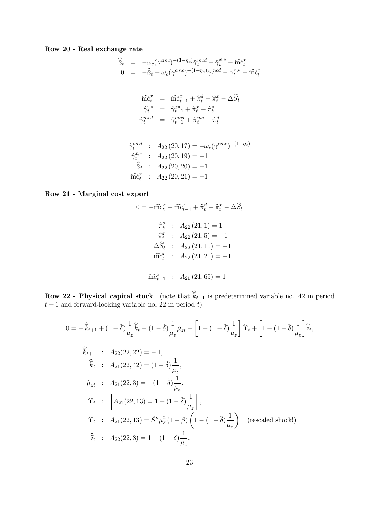### Row 20 - Real exchange rate

$$
\begin{array}{rcl}\n\widehat{\tilde{x}}_t &=& -\omega_c (\gamma^{cmc})^{-(1-\eta_c)} \widehat{\gamma}_t^{mcd} - \widehat{\gamma}_t^{x,*} - \widehat{\mathbf{m}}_t^{x} \\
0 &=& -\widehat{\tilde{x}}_t - \omega_c (\gamma^{cmc})^{-(1-\eta_c)} \widehat{\gamma}_t^{mcd} - \widehat{\gamma}_t^{x,*} - \widehat{\mathbf{m}}_t^{x}\n\end{array}
$$

$$
\begin{array}{rcl}\n\widehat{\text{mc}}_t^x &=& \widehat{\text{mc}}_{t-1}^x + \widehat{\pi}_t^d - \widehat{\pi}_t^x - \Delta \widehat{S}_t \\
\widehat{\gamma}_t^{x*} &=& \widehat{\gamma}_{t-1}^{x*} + \widehat{\pi}_t^x - \widehat{\pi}_t^* \\
\widehat{\gamma}_t^{mcd} &=& \widehat{\gamma}_{t-1}^{mcd} + \widehat{\pi}_t^{mc} - \widehat{\pi}_t^d\n\end{array}
$$

$$
\hat{\gamma}_t^{med} : A_{22} (20, 17) = -\omega_c (\gamma^{cmc})^{-(1-\eta_c)}
$$
  

$$
\hat{\gamma}_t^{x,*} : A_{22} (20, 19) = -1
$$
  

$$
\hat{\tilde{x}}_t : A_{22} (20, 20) = -1
$$
  

$$
\widehat{\text{mc}}_t^x : A_{22} (20, 21) = -1
$$

### Row 21 - Marginal cost export

$$
0 = -\widehat{\text{mc}}_t^x + \widehat{\text{mc}}_{t-1}^x + \widehat{\pi}_t^d - \widehat{\pi}_t^x - \Delta \widehat{S}_t
$$

$$
\widehat{\pi}_t^d : A_{22}(21, 1) = 1
$$

$$
\widehat{\pi}_t^x : A_{22}(21, 5) = -1
$$

$$
\Delta \widehat{S}_t : A_{22}(21, 11) = -1
$$

$$
\widehat{\text{mc}}_t^x : A_{22}(21, 21) = -1
$$

$$
\widehat{\text{mc}}_{t-1}^x : A_{21}(21, 65) = 1
$$

**Row 22 - Physical capital stock** (note that  $\hat{k}_{t+1}$  is predetermined variable no. 42 in period  $t+1$  and forward-looking variable no. 22 in period t):

$$
0 = -\hat{k}_{t+1} + (1 - \tilde{\delta}) \frac{1}{\mu_z} \hat{k}_t - (1 - \tilde{\delta}) \frac{1}{\mu_z} \hat{\mu}_{zt} + \left[ 1 - (1 - \tilde{\delta}) \frac{1}{\mu_z} \right] \hat{\Upsilon}_t + \left[ 1 - (1 - \tilde{\delta}) \frac{1}{\mu_z} \right] \hat{i}_t,
$$
  
\n
$$
\hat{k}_{t+1} : A_{22}(22, 22) = -1,
$$
  
\n
$$
\hat{k}_t : A_{21}(22, 42) = (1 - \tilde{\delta}) \frac{1}{\mu_z},
$$
  
\n
$$
\hat{\mu}_{zt} : A_{21}(22, 3) = -(1 - \tilde{\delta}) \frac{1}{\mu_z},
$$
  
\n
$$
\hat{\Upsilon}_t : \left[ A_{21}(22, 13) = 1 - (1 - \tilde{\delta}) \frac{1}{\mu_z} \right],
$$
  
\n
$$
\hat{\Upsilon}_t : A_{21}(22, 13) = \tilde{S}'' \mu_z^2 (1 + \beta) \left( 1 - (1 - \tilde{\delta}) \frac{1}{\mu_z} \right) \quad \text{(rescaled shock!)}
$$
  
\n
$$
\hat{i}_t : A_{22}(22, 8) = 1 - (1 - \tilde{\delta}) \frac{1}{\mu_z}.
$$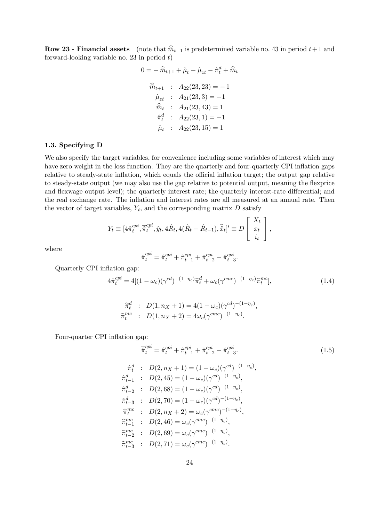**Row 23 - Financial assets** (note that  $\hat{m}_{t+1}$  is predetermined variable no. 43 in period  $t+1$  and forward-looking variable no. 23 in period  $t$ )

$$
0 = -\hat{m}_{t+1} + \hat{\mu}_t - \hat{\mu}_{zt} - \hat{\pi}_t^d + \hat{m}_t
$$
  
\n
$$
\hat{m}_{t+1} : A_{22}(23, 23) = -1
$$
  
\n
$$
\hat{\mu}_{zt} : A_{21}(23, 3) = -1
$$
  
\n
$$
\hat{m}_t : A_{21}(23, 43) = 1
$$
  
\n
$$
\hat{\pi}_t^d : A_{22}(23, 1) = -1
$$
  
\n
$$
\hat{\mu}_t : A_{22}(23, 15) = 1
$$

#### 1.3. Specifying D

We also specify the target variables, for convenience including some variables of interest which may have zero weight in the loss function. They are the quarterly and four-quarterly CPI inflation gaps relative to steady-state inflation, which equals the official inflation target; the output gap relative to steady-state output (we may also use the gap relative to potential output, meaning the flexprice and flexwage output level); the quarterly interest rate; the quarterly interest-rate differential; and the real exchange rate. The inflation and interest rates are all measured at an annual rate. Then the vector of target variables,  $Y_t$ , and the corresponding matrix  $D$  satisfy

$$
Y_t \equiv [4\hat{\pi}_t^{cpi}, \overline{\hat{\pi}}_t^{cpi}, \hat{y}_t, 4\hat{R}_t, 4(\hat{R}_t - \hat{R}_{t-1}), \hat{\tilde{x}}_t]' \equiv D \begin{bmatrix} X_t \\ x_t \\ i_t \end{bmatrix},
$$

where

$$
\overline{\hat{\pi}}_t^{cpi} = \hat{\pi}_t^{cpi} + \hat{\pi}_{t-1}^{cpi} + \hat{\pi}_{t-2}^{cpi} + \hat{\pi}_{t-3}^{cpi}.
$$

Quarterly CPI inflation gap:

$$
4\hat{\pi}_t^{cpi} = 4[(1 - \omega_c)(\gamma^{cd})^{-(1 - \eta_c)}\hat{\pi}_t^d + \omega_c(\gamma^{cmc})^{-(1 - \eta_c)}\hat{\pi}_t^{mc}],
$$
\n(1.4)

$$
\begin{aligned}\n\widehat{\pi}_t^d & : D(1, n_X + 1) = 4(1 - \omega_c)(\gamma^{cd})^{-(1 - \eta_c)}, \\
\widehat{\pi}_t^{mc} & : D(1, n_X + 2) = 4\omega_c(\gamma^{cmc})^{-(1 - \eta_c)}.\n\end{aligned}
$$

Four-quarter CPI inflation gap:

 $\hat{\pi}$ 

 $\widehat{\pi}$ 

 $\widehat{\pi}$ 

 $\widehat{\pi}$ 

$$
\overline{\pi}_{t}^{cpi} = \hat{\pi}_{t}^{cpi} + \hat{\pi}_{t-1}^{cpi} + \hat{\pi}_{t-2}^{cpi} + \hat{\pi}_{t-3}^{cpi}.
$$
\n
$$
\hat{\pi}_{t}^{d} : D(2, n_{X} + 1) = (1 - \omega_{c})(\gamma^{cd})^{-(1 - \eta_{c})},
$$
\n
$$
\hat{\pi}_{t-1}^{d} : D(2, 45) = (1 - \omega_{c})(\gamma^{cd})^{-(1 - \eta_{c})},
$$
\n
$$
\hat{\pi}_{t-2}^{d} : D(2, 68) = (1 - \omega_{c})(\gamma^{cd})^{-(1 - \eta_{c})},
$$
\n
$$
\hat{\pi}_{t-3}^{d} : D(2, 70) = (1 - \omega_{c})(\gamma^{cd})^{-(1 - \eta_{c})},
$$
\n
$$
\hat{\pi}_{t}^{mc} : D(2, n_{X} + 2) = \omega_{c}(\gamma^{cmc})^{-(1 - \eta_{c})},
$$
\n
$$
\hat{\pi}_{t-1}^{mc} : D(2, 46) = \omega_{c}(\gamma^{cmc})^{-(1 - \eta_{c})},
$$
\n
$$
\hat{\pi}_{t-2}^{mc} : D(2, 69) = \omega_{c}(\gamma^{cmc})^{-(1 - \eta_{c})},
$$
\n
$$
\hat{\pi}_{t-3}^{mc} : D(2, 71) = \omega_{c}(\gamma^{cmc})^{-(1 - \eta_{c})}.
$$
\n(1.5)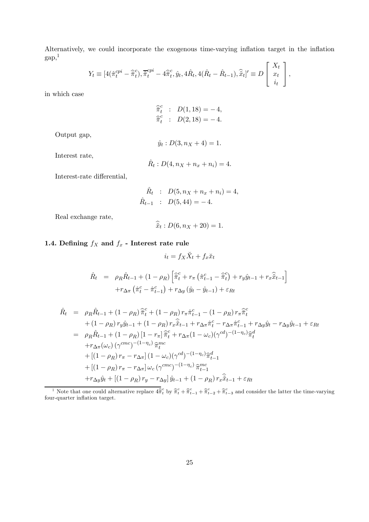Alternatively, we could incorporate the exogenous time-varying inflation target in the inflation  $gap, 1$  $\mathbf{\overline{1}}$ 

$$
Y_t \equiv [4(\hat{\pi}_t^{cpi} - \hat{\overline{\pi}}_t^c), \overline{\hat{\pi}}_t^{cpi} - 4\hat{\overline{\pi}}_t^c, \hat{y}_t, 4\hat{R}_t, 4(\hat{R}_t - \hat{R}_{t-1}), \hat{\overline{x}}_t]' \equiv D \begin{bmatrix} X_t \\ x_t \\ i_t \end{bmatrix},
$$

in which case

$$
\begin{aligned}\n\widehat{\overline{\pi}}_t^c &\; : &\; D(1,18) = -4, \\
\widehat{\overline{\pi}}_t^c &\; : &\; D(2,18) = -4.\n\end{aligned}
$$

Output gap,

$$
\hat{y}_t : D(3, n_X + 4) = 1.
$$

Interest rate,

$$
\hat{R}_t : D(4, n_X + n_x + n_i) = 4.
$$

Interest-rate differential,

$$
\hat{R}_t : D(5, n_X + n_x + n_i) = 4, \n\hat{R}_{t-1} : D(5, 44) = -4.
$$

Real exchange rate,

$$
\tilde{x}_t: D(6, n_X + 20) = 1.
$$

## 1.4. Defining  $f_X$  and  $f_x$  - Interest rate rule

$$
i_t = f_X \breve{X}_t + f_x \breve{x}_t
$$

$$
\hat{R}_t = \rho_R \hat{R}_{t-1} + (1 - \rho_R) \left[ \hat{\overline{\pi}}_t^c + r_\pi \left( \hat{\pi}_{t-1}^c - \hat{\overline{\pi}}_t^c \right) + r_y \hat{y}_{t-1} + r_x \hat{\overline{x}}_{t-1} \right] \n+ r_{\Delta \pi} \left( \hat{\pi}_t^c - \hat{\pi}_{t-1}^c \right) + r_{\Delta y} \left( \hat{y}_t - \hat{y}_{t-1} \right) + \varepsilon_{Rt}
$$

$$
\hat{R}_t = \rho_R \hat{R}_{t-1} + (1 - \rho_R) \hat{\pi}_t^c + (1 - \rho_R) r_{\pi} \hat{\pi}_{t-1}^c - (1 - \rho_R) r_{\pi} \hat{\pi}_t^c \n+ (1 - \rho_R) r_y \hat{y}_{t-1} + (1 - \rho_R) r_x \hat{\tilde{x}}_{t-1} + r_{\Delta \pi} \hat{\pi}_t^c - r_{\Delta \pi} \hat{\pi}_{t-1}^c + r_{\Delta y} \hat{y}_t - r_{\Delta y} \hat{y}_{t-1} + \varepsilon_{Rt} \n= \rho_R \hat{R}_{t-1} + (1 - \rho_R) [1 - r_{\pi}] \hat{\pi}_t^c + r_{\Delta \pi} (1 - \omega_c) (\gamma^{cd})^{-(1 - \eta_c)} \hat{\pi}_t^d \n+ r_{\Delta \pi} (\omega_c) (\gamma^{cmc})^{-(1 - \eta_c)} \hat{\pi}_t^{mc} \n+ [(1 - \rho_R) r_{\pi} - r_{\Delta \pi}] (1 - \omega_c) (\gamma^{cd})^{-(1 - \eta_c)} \hat{\pi}_{t-1}^d \n+ (1 - \rho_R) r_{\pi} - r_{\Delta \pi}] \omega_c (\gamma^{cmc})^{-(1 - \eta_c)} \hat{\pi}_{t-1}^{mc} \n+ r_{\Delta y} \hat{y}_t + [(1 - \rho_R) r_y - r_{\Delta y}] \hat{y}_{t-1} + (1 - \rho_R) r_x \hat{\tilde{x}}_{t-1} + \varepsilon_{Rt}
$$

<sup>1</sup> Note that one could alternative replace  $4\hat{\overline{\pi}}_t^c$  by  $\hat{\overline{\pi}}_t^c + \hat{\overline{\pi}}_{t-1}^c + \hat{\overline{\pi}}_{t-2}^c + \hat{\overline{\pi}}_{t-3}^c$  and consider the latter the time-varying four-quarter inflation target.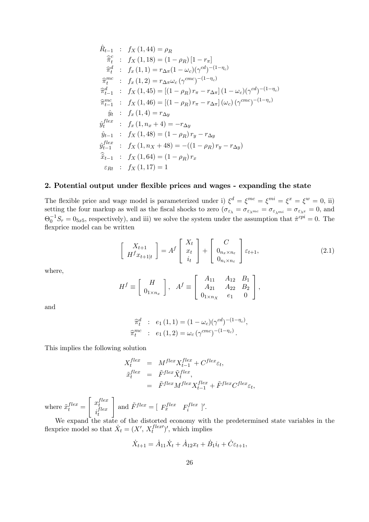$$
\hat{R}_{t-1} : f_X(1, 44) = \rho_R \n\hat{\pi}_t^c : f_X(1, 18) = (1 - \rho_R) [1 - r_\pi] \n\hat{\pi}_t^d : f_x(1, 1) = r_{\Delta \pi} (1 - \omega_c) (\gamma^{cd})^{-(1 - \eta_c)} \n\hat{\pi}_t^{mc} : f_x(1, 2) = r_{\Delta \pi} \omega_c (\gamma^{cmc})^{-(1 - \eta_c)} \n\hat{\pi}_{t-1}^d : f_X(1, 45) = [(1 - \rho_R) r_\pi - r_{\Delta \pi}] (1 - \omega_c) (\gamma^{cd})^{-(1 - \eta_c)} \n\hat{\pi}_{t-1}^{mc} : f_X(1, 46) = [(1 - \rho_R) r_\pi - r_{\Delta \pi}] (\omega_c) (\gamma^{cmc})^{-(1 - \eta_c)} \n\hat{y}_t : f_x(1, 4) = r_{\Delta y} \n\hat{y}_t^{flex} : f_x(1, n_x + 4) = -r_{\Delta y} \n\hat{y}_{t-1} : f_X(1, 48) = (1 - \rho_R) r_y - r_{\Delta y} \n\hat{y}_{t-1}^{flex} : f_X(1, n_x + 48) = -((1 - \rho_R) r_y - r_{\Delta y}) \n\hat{\tilde{x}}_{t-1} : f_X(1, 64) = (1 - \rho_R) r_x \n\varepsilon_{Rt} : f_X(1, 17) = 1
$$

### 2. Potential output under flexible prices and wages - expanding the state

The flexible price and wage model is parameterized under i)  $\xi^d = \xi^{mc} = \xi^{mi} = \xi^x = \xi^w = 0$ , ii) setting the four markup as well as the fiscal shocks to zero  $(\sigma_{\varepsilon_{\lambda}} = \sigma_{\varepsilon_{\lambda} m c} = \sigma_{\varepsilon_{\lambda} m i} = \sigma_{\varepsilon_{\lambda} x} = 0$ , and  $\Theta_0^{-1}S_\tau = 0_{5x5}$ , respectively), and iii) we solve the system under the assumption that  $\hat{\pi}^{cpi} = 0$ . The flexprice model can be written

$$
\begin{bmatrix} X_{t+1} \\ H^f x_{t+1|t} \end{bmatrix} = A^f \begin{bmatrix} X_t \\ x_t \\ i_t \end{bmatrix} + \begin{bmatrix} C \\ 0_{n_x \times n_\varepsilon} \\ 0_{n_i \times n_\varepsilon} \end{bmatrix} \varepsilon_{t+1},
$$
\n(2.1)

where,

$$
H^{f} \equiv \left[ \begin{array}{c} H \\ 0_{1 \times n_{x}} \end{array} \right], \quad A^{f} \equiv \left[ \begin{array}{ccc} A_{11} & A_{12} & B_{1} \\ A_{21} & A_{22} & B_{2} \\ 0_{1 \times n_{X}} & e_{1} & 0 \end{array} \right],
$$

and

$$
\begin{aligned}\n\widehat{\pi}_t^d & : e_1(1,1) = (1 - \omega_c)(\gamma^{cd})^{-(1 - \eta_c)}, \\
\widehat{\pi}_t^{mc} & : e_1(1,2) = \omega_c(\gamma^{cmc})^{-(1 - \eta_c)}.\n\end{aligned}
$$

This implies the following solution

$$
X_t^{flex} = M^{flex} X_{t-1}^{flex} + C^{flex} \varepsilon_t,
$$
  
\n
$$
\tilde{x}_t^{flex} = \tilde{F}^{flex} \tilde{X}_t^{flex},
$$
  
\n
$$
= \tilde{F}^{flex} M^{flex} X_{t-1}^{flex} + \tilde{F}^{flex} C^{flex} \varepsilon_t,
$$

where  $\tilde{x}^{flex}_t =$  $\int x_t^{flex}$  $i_t^{flex}$ t 1 and  $\tilde{F}^{flex} = [F_x^{flex} \quad F_i^{flex}]'.$ 

We expand the state of the distorted economy with the predetermined state variables in the flexprice model so that  $\dot{X}_t = (X', X_t^{flex})'$ , which implies

$$
\dot{X}_{t+1} = \dot{A}_{11}\dot{X}_t + \dot{A}_{12}x_t + \dot{B}_1i_t + \dot{C}\varepsilon_{t+1},
$$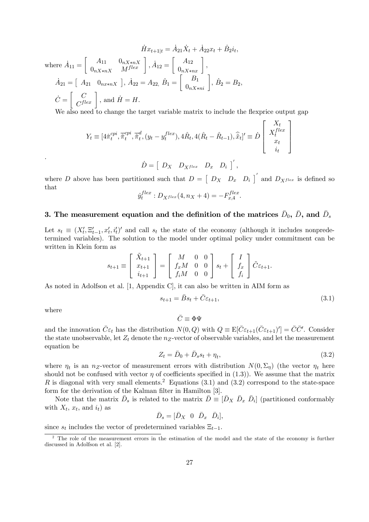$$
\dot{H}x_{t+1|t} = \dot{A}_{21}\dot{X}_t + \dot{A}_{22}x_t + \dot{B}_{2}i_t,
$$
  
where  $\dot{A}_{11} = \begin{bmatrix} A_{11} & 0_{nX*nX} \\ 0_{nX*nX} & M^{flex} \end{bmatrix}, \dot{A}_{12} = \begin{bmatrix} A_{12} \\ 0_{nX*nX} \end{bmatrix},$   
 $\dot{A}_{21} = \begin{bmatrix} A_{21} & 0_{nx*nX} \end{bmatrix}, \dot{A}_{22} = A_{22}, \dot{B}_1 = \begin{bmatrix} B_1 \\ 0_{nX*n} \end{bmatrix}, \dot{B}_2 = B_2,$   
 $\dot{C} = \begin{bmatrix} C \\ C^{flex} \end{bmatrix}$ , and  $\dot{H} = H.$   
We also need to choose the target variable matrix to include the formula

We also need to change the target variable matrix to include the flexprice output gap

$$
Y_t \equiv [4\hat{\pi}_t^{epi}, \overline{\hat{\pi}}_t^{epi}, \overline{\hat{\pi}}_t^{d}, (y_t - y_t^{flex}), 4\hat{R}_t, 4(\hat{R}_t - \hat{R}_{t-1}), \hat{\hat{x}}_t]' \equiv \dot{D} \begin{bmatrix} X_t \\ X_t^{flex} \\ x_t \\ i_t \end{bmatrix}
$$

 $\dot{D} = \left[ \begin{array}{ccc} D_{X} & D_{X^{flex}} & D_{x} & D_{i} \end{array} \right]^\prime,$ 

where D above has been partitioned such that  $D = \begin{bmatrix} D_X & D_x & D_i \end{bmatrix}$  and  $D_{X^{flex}}$  is defined so that

$$
\hat{y}_t^{flex} : D_{X^{flex}}(4, n_X + 4) = -F_{x,4}^{flex}.
$$

### 3. The measurement equation and the definition of the matrices  $\bar{D}_0$ ,  $\bar{D}$ , and  $\bar{D}_s$

Let  $s_t \equiv (X'_t, \Xi'_{t-1}, x'_t, i'_t)'$  and call  $s_t$  the state of the economy (although it includes nonpredetermined variables). The solution to the model under optimal policy under commitment can be written in Klein form as

$$
s_{t+1} \equiv \begin{bmatrix} \tilde{X}_{t+1} \\ x_{t+1} \\ i_{t+1} \end{bmatrix} = \begin{bmatrix} M & 0 & 0 \\ f_x M & 0 & 0 \\ f_i M & 0 & 0 \end{bmatrix} s_t + \begin{bmatrix} I \\ f_x \\ f_i \end{bmatrix} \tilde{C} \varepsilon_{t+1}.
$$

As noted in Adolfson et al. [1, Appendix C], it can also be written in AIM form as

$$
s_{t+1} = \bar{B}s_t + \bar{C}\varepsilon_{t+1},\tag{3.1}
$$

where

.

$$
\bar{C}\equiv \Phi\Psi
$$

and the innovation  $\bar{C}\varepsilon_t$  has the distribution  $N(0, Q)$  with  $Q \equiv \mathbb{E}[\bar{C}\varepsilon_{t+1}(\bar{C}\varepsilon_{t+1})'] = \bar{C}\bar{C}'$ . Consider the state unobservable, let  $Z_t$  denote the  $n_Z$ -vector of observable variables, and let the measurement equation be

$$
Z_t = \bar{D}_0 + \bar{D}_s s_t + \eta_t,\tag{3.2}
$$

where  $\eta_t$  is an n<sub>Z</sub>-vector of measurement errors with distribution  $N(0, \Sigma_\eta)$  (the vector  $\eta_t$  here should not be confused with vector  $\eta$  of coefficients specified in (1.3)). We assume that the matrix R is diagonal with very small elements.<sup>2</sup> Equations (3.1) and (3.2) correspond to the state-space form for the derivation of the Kalman filter in Hamilton [3].

Note that the matrix  $\bar{D}_s$  is related to the matrix  $\bar{D} \equiv [\bar{D}_X \ \bar{D}_x \ \bar{D}_i]$  (partitioned conformably with  $X_t$ ,  $x_t$ , and  $i_t$ ) as

$$
\bar{D}_s = [\bar{D}_X \quad 0 \quad \bar{D}_x \quad \bar{D}_i],
$$

since  $s_t$  includes the vector of predetermined variables  $\Xi_{t-1}$ .

<sup>&</sup>lt;sup>2</sup> The role of the measurement errors in the estimation of the model and the state of the economy is further discussed in Adolfson et al. [2].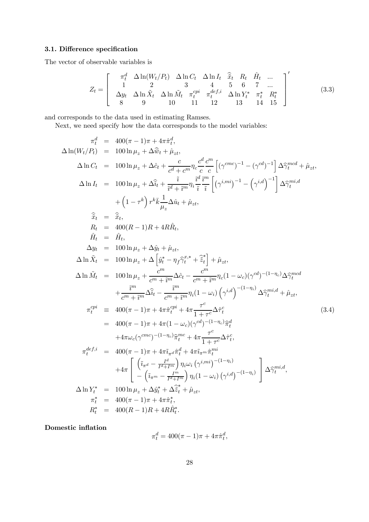### 3.1. Difference specification

The vector of observable variables is

$$
Z_{t} = \begin{bmatrix} \pi_{t}^{d} & \Delta \ln(W_{t}/P_{t}) & \Delta \ln C_{t} & \Delta \ln I_{t} & \hat{x}_{t} & R_{t} & \hat{H}_{t} & \dots \\ 1 & 2 & 3 & 4 & 5 & 6 & 7 & \dots \\ \Delta y_{t} & \Delta \ln \tilde{X}_{t} & \Delta \ln \tilde{M}_{t} & \pi_{t}^{cpi} & \pi_{t}^{def,i} & \Delta \ln Y_{t}^{*} & \pi_{t}^{*} & R_{t}^{*} \\ 8 & 9 & 10 & 11 & 12 & 13 & 14 & 15 \end{bmatrix}' \tag{3.3}
$$

and corresponds to the data used in estimating Ramses.

Next, we need specify how the data corresponds to the model variables:

$$
\pi_t^d = 400(\pi - 1)\pi + 4\pi \hat{\pi}_t^d,
$$
  
\n
$$
\Delta \ln(W_t/P_t) = 100 \ln \mu_z + \Delta \hat{v}_t + \hat{\mu}_{zt},
$$
  
\n
$$
\Delta \ln C_t = 100 \ln \mu_z + \Delta \hat{v}_t + \frac{c}{c^d + c^m} \eta_c \frac{c^d}{c} \frac{c^m}{c} \left[ (\gamma^{cmc})^{-1} - (\gamma^{cd})^{-1} \right] \Delta \hat{\gamma}_t^{med} + \hat{\mu}_{zt},
$$
  
\n
$$
\Delta \ln I_t = 100 \ln \mu_z + \Delta \hat{\hat{u}}_t + \frac{i}{\hat{i}^d + \hat{i}^m} \eta_t \frac{c^d}{\hat{i}} \frac{c^m}{\hat{i}} \left[ (\gamma^{i,mi})^{-1} - (\gamma^{i,d})^{-1} \right] \Delta \hat{\gamma}_t^{mid}
$$
  
\n
$$
+ (1 - \tau^k) r^k \bar{k} \frac{1}{\mu_z} \Delta \hat{u}_t + \hat{\mu}_{zt},
$$
  
\n
$$
\hat{\hat{x}}_t = \hat{\hat{x}}_t,
$$
  
\n
$$
R_t = 400(R - 1)R + 4R\hat{R}_t,
$$
  
\n
$$
\hat{H}_t = \hat{H}_t,
$$
  
\n
$$
\Delta \ln \hat{X}_t = 100 \ln \mu_z + \Delta \hat{y}_t + \hat{\mu}_{zt},
$$
  
\n
$$
\Delta \ln \hat{M}_t = 100 \ln \mu_z + \frac{c^m}{c^m + \hat{i}^m} \Delta \hat{c}_t - \frac{c^m}{c^m + \hat{i}^m} \eta_c (1 - \omega_c)(\gamma^{cd})^{-(1 - \eta_c)} \Delta \hat{\gamma}_t^{med}
$$
  
\n
$$
+ \frac{\hat{i}^m}{c^m + \hat{i}^m} \Delta \hat{\hat{u}}_t - \frac{\hat{i}^m}{c^m + \hat{i}^m} \eta_i (1 - \omega_c)(\gamma^{cd})^{-(1 - \eta_c)} \Delta \hat{\gamma}_t^{med}
$$
  
\n
$$
+ \frac{\hat{i}^m}{c^m + \hat{i}^m} \Delta \hat{\hat{u}}_t - \frac{\hat{i}^m}{
$$

Domestic inflation

$$
\pi_t^d = 400(\pi - 1)\pi + 4\pi \hat{\pi}_t^d,
$$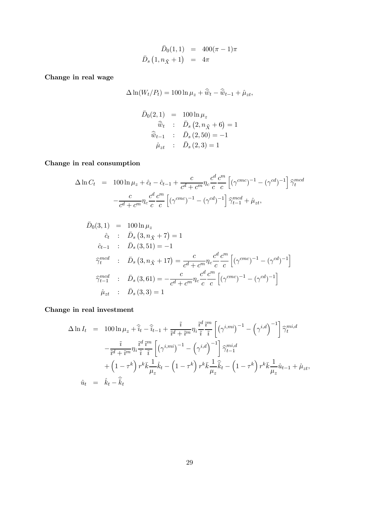$$
\bar{D}_0(1,1) = 400(\pi - 1)\pi
$$
  

$$
\bar{D}_s(1, n_{\tilde{X}} + 1) = 4\pi
$$

Change in real wage

$$
\Delta \ln(W_t/P_t) = 100 \ln \mu_z + \widehat{\bar{w}}_t - \widehat{\bar{w}}_{t-1} + \widehat{\mu}_{zt},
$$

$$
\begin{array}{rcl}\n\bar{D}_0(2,1) & = & 100 \ln \mu_z \\
\widehat{\bar{w}}_t & : & \bar{D}_s \left(2, n_{\tilde{X}} + 6\right) = 1 \\
\widehat{\bar{w}}_{t-1} & : & \bar{D}_s \left(2, 50\right) = -1 \\
\widehat{\mu}_{zt} & : & \bar{D}_s \left(2, 3\right) = 1\n\end{array}
$$

Change in real consumption

$$
\Delta \ln C_t = 100 \ln \mu_z + \hat{c}_t - \hat{c}_{t-1} + \frac{c}{c^d + c^m} \eta_c \frac{c^d}{c} \frac{c^m}{c} \left[ (\gamma^{cmc})^{-1} - (\gamma^{cd})^{-1} \right] \hat{\gamma}_t^{mcd}
$$

$$
- \frac{c}{c^d + c^m} \eta_c \frac{c^d}{c} \frac{c^m}{c} \left[ (\gamma^{cmc})^{-1} - (\gamma^{cd})^{-1} \right] \hat{\gamma}_{t-1}^{mcd} + \hat{\mu}_{zt},
$$

$$
\begin{array}{rcl}\n\bar{D}_0(3,1) & = & 100 \ln \mu_z \\
\hat{c}_t & : & \bar{D}_s(3, n_{\tilde{X}} + 7) = 1 \\
\hat{c}_{t-1} & : & \bar{D}_s(3, 51) = -1 \\
\widehat{\gamma}_t^{mcd} & : & \bar{D}_s(3, n_{\tilde{X}} + 17) = \frac{c}{c^d + c^m} \eta_c \frac{c^d}{c} \frac{c^m}{c} \left[ (\gamma^{cmc})^{-1} - (\gamma^{cd})^{-1} \right] \\
\widehat{\gamma}_{t-1}^{mcd} & : & \bar{D}_s(3, 61) = -\frac{c}{c^d + c^m} \eta_c \frac{c^d}{c} \frac{c^m}{c} \left[ (\gamma^{cmc})^{-1} - (\gamma^{cd})^{-1} \right] \\
\hat{\mu}_{zt} & : & \bar{D}_s(3, 3) = 1\n\end{array}
$$

## Change in real investment

$$
\Delta \ln I_t = 100 \ln \mu_z + \hat{i}_t - \hat{i}_{t-1} + \frac{\hat{i}}{\hat{i}^d + \hat{i}^m} \eta_i \frac{\hat{i}^d}{\hat{i}} \frac{\hat{i}^m}{\hat{i}} \left[ \left( \gamma^{i,mi} \right)^{-1} - \left( \gamma^{i,d} \right)^{-1} \right] \hat{\gamma}_t^{mi,d}
$$

$$
- \frac{\hat{i}}{\hat{i}^d + \hat{i}^m} \eta_i \frac{\hat{i}^d \hat{i}^m}{\hat{i}} \left[ \left( \gamma^{i,mi} \right)^{-1} - \left( \gamma^{i,d} \right)^{-1} \right] \hat{\gamma}_{t-1}^{mi,d}
$$

$$
+ \left( 1 - \tau^k \right) r^k \bar{k} \frac{1}{\mu_z} \hat{k}_t - \left( 1 - \tau^k \right) r^k \bar{k} \frac{1}{\mu_z} \hat{\bar{k}}_t - \left( 1 - \tau^k \right) r^k \bar{k} \frac{1}{\mu_z} \hat{u}_{t-1} + \hat{\mu}_{zt},
$$

$$
\hat{u}_t = \hat{k}_t - \hat{\bar{k}}_t
$$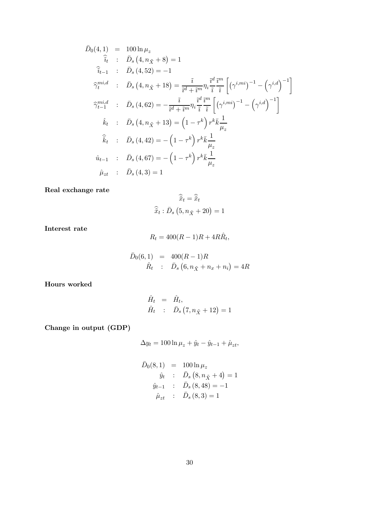$$
\begin{array}{rcl}\n\bar{D}_0(4,1) & = & 100 \ln \mu_z \\
\hat{i}_t & : & \bar{D}_s(4, n_{\tilde{X}} + 8) = 1 \\
\hat{i}_{t-1} & : & \bar{D}_s(4, 52) = -1 \\
\hat{\gamma}_t^{mi,d} & : & \bar{D}_s(4, n_{\tilde{X}} + 18) = \frac{\tilde{i}}{\tilde{i}^d + \tilde{i}^m} \eta_i \frac{\tilde{i}^d}{\tilde{i}} \frac{\tilde{i}^m}{\tilde{i}} \left[ \left( \gamma^{i,mi} \right)^{-1} - \left( \gamma^{i,d} \right)^{-1} \right] \\
\hat{\gamma}_{t-1}^{mi,d} & : & \bar{D}_s(4, 62) = -\frac{\tilde{i}}{\tilde{i}^d + \tilde{i}^m} \eta_i \frac{\tilde{i}^d}{\tilde{i}} \frac{\tilde{i}^m}{\tilde{i}} \left[ \left( \gamma^{i,mi} \right)^{-1} - \left( \gamma^{i,d} \right)^{-1} \right] \\
\hat{k}_t & : & \bar{D}_s(4, n_{\tilde{X}} + 13) = \left( 1 - \tau^k \right) r^k \bar{k} \frac{1}{\mu_z} \\
\hat{k}_t & : & \bar{D}_s(4, 42) = -\left( 1 - \tau^k \right) r^k \bar{k} \frac{1}{\mu_z} \\
\hat{u}_{t-1} & : & \bar{D}_s(4, 67) = -\left( 1 - \tau^k \right) r^k \bar{k} \frac{1}{\mu_z} \\
\hat{\mu}_{zt} & : & \bar{D}_s(4, 3) = 1\n\end{array}
$$

Real exchange rate

$$
\widehat{\widetilde{x}}_t = \widehat{\widetilde{x}}_t
$$

$$
\widehat{\widetilde{x}}_t : \bar{D}_s \left(5, n_{\tilde{X}} + 20\right) = 1
$$

Interest rate

$$
R_t = 400(R - 1)R + 4R\hat{R}_t,
$$

$$
\begin{array}{rcl}\n\bar{D}_0(6,1) & = & 400(R-1)R \\
\hat{R}_t & : & \bar{D}_s\left(6, n_{\tilde{X}} + n_x + n_i\right) = 4R\n\end{array}
$$

Hours worked

$$
\hat{H}_t = \hat{H}_t, \n\hat{H}_t \div \bar{D}_s (7, n_{\tilde{X}} + 12) = 1
$$

Change in output (GDP)

$$
\Delta y_t = 100 \ln \mu_z + \hat{y}_t - \hat{y}_{t-1} + \hat{\mu}_{zt},
$$

$$
\begin{array}{rcl}\n\bar{D}_0(8,1) & = & 100 \ln \mu_z \\
\hat{y}_t & : & \bar{D}_s(8, n_{\tilde{X}} + 4) = 1 \\
\hat{y}_{t-1} & : & \bar{D}_s(8, 48) = -1 \\
\hat{\mu}_{zt} & : & \bar{D}_s(8, 3) = 1\n\end{array}
$$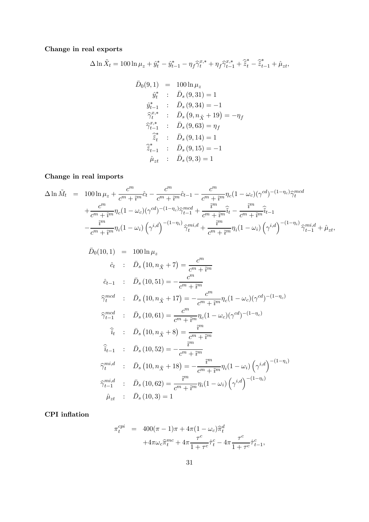Change in real exports

$$
\Delta \ln \tilde{X}_t = 100 \ln \mu_z + \hat{y}_t^* - \hat{y}_{t-1}^* - \eta_f \hat{\gamma}_t^{x,*} + \eta_f \hat{\gamma}_{t-1}^{x,*} + \hat{\tilde{z}}_t^* - \hat{\tilde{z}}_{t-1}^* + \hat{\mu}_{zt},
$$

$$
\begin{array}{rcl}\n\bar{D}_0(9,1) & = & 100 \ln \mu_z \\
\hat{y}_t^* & : & \bar{D}_s(9,31) = 1 \\
\hat{y}_{t-1}^* & : & \bar{D}_s(9,34) = -1 \\
\widehat{\gamma}_t^{x,*} & : & \bar{D}_s(9, n_{\tilde{X}} + 19) = -\eta_f \\
\widehat{\gamma}_{t-1}^{x,*} & : & \bar{D}_s(9,63) = \eta_f \\
\widehat{z}_t^* & : & \bar{D}_s(9,14) = 1 \\
\widehat{z}_{t-1}^* & : & \bar{D}_s(9,15) = -1 \\
\widehat{\mu}_{zt} & : & \bar{D}_s(9,3) = 1\n\end{array}
$$

## Change in real imports

$$
\Delta \ln \tilde{M}_t = 100 \ln \mu_z + \frac{c^m}{c^m + \tilde{i}^m} \hat{c}_t - \frac{c^m}{c^m + \tilde{i}^m} \hat{c}_{t-1} - \frac{c^m}{c^m + \tilde{i}^m} \eta_c (1 - \omega_c) (\gamma^{cd})^{-(1 - \eta_c)} \hat{\gamma}_t^{med} \n+ \frac{c^m}{c^m + \tilde{i}^m} \eta_c (1 - \omega_c) (\gamma^{cd})^{-(1 - \eta_c)} \hat{\gamma}_{t-1}^{med} + \frac{\tilde{i}^m}{c^m + \tilde{i}^m} \hat{\tilde{i}}_t - \frac{\tilde{i}^m}{c^m + \tilde{i}^m} \hat{\tilde{i}}_{t-1} \n- \frac{\tilde{i}^m}{c^m + \tilde{i}^m} \eta_i (1 - \omega_i) (\gamma^{i,d})^{-(1 - \eta_i)} \hat{\gamma}_t^{mi,d} + \frac{\tilde{i}^m}{c^m + \tilde{i}^m} \eta_i (1 - \omega_i) (\gamma^{i,d})^{-(1 - \eta_i)} \hat{\gamma}_{t-1}^{mi,d} + \hat{\mu}_{zt},
$$

$$
\begin{array}{rcl}\n\bar{D}_0(10,1) & = & 100 \ln \mu_z \\
\hat{c}_t & : & \bar{D}_s \left(10, n_{\tilde{X}} + 7\right) = \frac{c^m}{c^m + \tilde{i}^m} \\
\hat{c}_{t-1} & : & \bar{D}_s \left(10, 51\right) = -\frac{c^m}{c^m + \tilde{i}^m} \\
\widehat{\gamma}_t^{med} & : & \bar{D}_s \left(10, n_{\tilde{X}} + 17\right) = -\frac{c^m}{c^m + \tilde{i}^m} n_c (1 - \omega_c) (\gamma^{cd})^{-(1 - \eta_c)} \\
\widehat{\gamma}_{t-1}^{med} & : & \bar{D}_s \left(10, 61\right) = \frac{c^m}{c^m + \tilde{i}^m} n_c (1 - \omega_c) (\gamma^{cd})^{-(1 - \eta_c)} \\
\widehat{i}_t & : & \bar{D}_s \left(10, n_{\tilde{X}} + 8\right) = \frac{\tilde{i}^m}{c^m + \tilde{i}^m} \\
\widehat{i}_{t-1} & : & \bar{D}_s \left(10, 52\right) = -\frac{\tilde{i}^m}{c^m + \tilde{i}^m} \\
\widehat{\gamma}_t^{mid} & : & \bar{D}_s \left(10, n_{\tilde{X}} + 18\right) = -\frac{\tilde{i}^m}{c^m + \tilde{i}^m} n_i (1 - \omega_i) \left(\gamma^{i,d}\right)^{-(1 - \eta_i)} \\
\widehat{\gamma}_{t-1}^{mid} & : & \bar{D}_s \left(10, 62\right) = \frac{\tilde{i}^m}{c^m + \tilde{i}^m} n_i (1 - \omega_i) \left(\gamma^{i,d}\right)^{-(1 - \eta_i)} \\
\widehat{\mu}_{zt} & : & \bar{D}_s \left(10, 3\right) = 1\n\end{array}
$$

## CPI inflation

$$
\pi_t^{cpi} = 400(\pi - 1)\pi + 4\pi (1 - \omega_c)\hat{\pi}_t^d \n+ 4\pi \omega_c \hat{\pi}_t^{mc} + 4\pi \frac{\tau^c}{1 + \tau^c} \hat{\tau}_t^c - 4\pi \frac{\tau^c}{1 + \tau^c} \hat{\tau}_{t-1}^c,
$$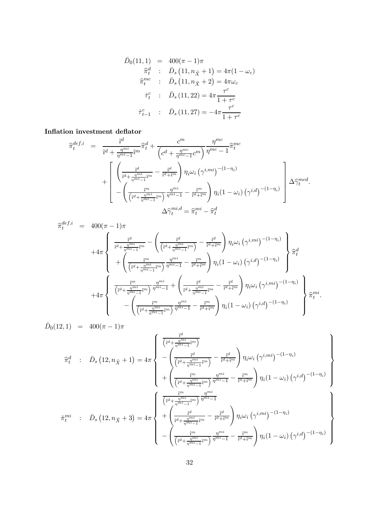$$
\begin{array}{rcl}\n\bar{D}_0(11,1) & = & 400(\pi - 1)\pi \\
\widehat{\pi}_t^d & : & \bar{D}_s(11, n_{\tilde{X}} + 1) = 4\pi(1 - \omega_c) \\
\widehat{\pi}_t^{mc} & : & \bar{D}_s(11, n_{\tilde{X}} + 2) = 4\pi\omega_c \\
\widehat{\tau}_t^c & : & \bar{D}_s(11,22) = 4\pi \frac{\tau^c}{1 + \tau^c} \\
\widehat{\tau}_{t-1}^c & : & \bar{D}_s(11,27) = -4\pi \frac{\tau^c}{1 + \tau^c}\n\end{array}
$$

#### Inflation investment deflator

$$
\begin{split}\n\widehat{\pi}_{t}^{def,i} &= \frac{\widetilde{i}^{d}}{\widetilde{i}^{d} + \frac{\eta^{mi}}{\eta^{mi} - 1} \widetilde{i}^{m}} \widehat{\pi}_{t}^{d} + \frac{c^{m}}{\left(c^{d} + \frac{\eta^{mc}}{\eta^{mc} - 1} c^{m}\right)} \frac{\eta^{mc}}{\eta^{mc} - 1} \widehat{\pi}_{t}^{mc} \\
&+ \left[ \frac{\widetilde{i}^{d}}{\widetilde{i}^{d} + \frac{\eta^{mi}}{\eta^{mi} - 1} \widetilde{i}^{m}} - \frac{\widetilde{i}^{d}}{\widetilde{i}^{d} + \widetilde{i}^{m}} \right) \eta_{i} \omega_{i} \left(\gamma^{i,mi}\right)^{-(1 - \eta_{i})} \\
&- \left( \frac{\widetilde{i}^{m}}{\left(\widetilde{i}^{d} + \frac{\eta^{mi}}{\eta^{mi} - 1} \widetilde{i}^{m}\right)} \frac{\eta^{mi}}{\eta^{mi} - 1} - \frac{\widetilde{i}^{m}}{\widetilde{i}^{d} + \widetilde{i}^{m}} \right) \eta_{i} (1 - \omega_{i}) \left(\gamma^{i, d}\right)^{-(1 - \eta_{i})} \right] \Delta \widehat{\gamma}_{t}^{med} \\
& \Delta \widehat{\gamma}_{t}^{mid} &= \widehat{\pi}_{t}^{mi} - \widehat{\pi}_{t}^{d}\n\end{split}
$$

$$
\hat{\pi}_{t}^{def,i} = 400(\pi - 1)\pi \n+4\pi \left\{\n\begin{array}{l}\n\frac{\tilde{i}^{d}}{\tilde{i}^{d} + \frac{\eta^{mi}}{\eta^{mi} - 1}\tilde{i}^{m}} - \left(\frac{\tilde{i}^{d}}{\left(\tilde{i}^{d} + \frac{\eta^{mi}}{\eta^{mi} - 1}\tilde{i}^{m}}\right) - \frac{\tilde{i}^{d}}{\tilde{i}^{d} + \tilde{i}^{m}}\right) \eta_{i}\omega_{i}\left(\gamma^{i,mi}\right)^{-(1-\eta_{i})} \\
+ \left(\frac{\tilde{i}^{m}}{\left(\tilde{i}^{d} + \frac{\eta^{mi}}{\eta^{mi} - 1}\tilde{i}^{m}}\right) \frac{\eta^{mi}}{\eta^{mi} - 1} - \frac{\tilde{i}^{m}}{\tilde{i}^{d} + \tilde{i}^{m}}\right) \eta_{i}(1 - \omega_{i})\left(\gamma^{i,d}\right)^{-(1-\eta_{i})}\n\end{array}\n\right\} \hat{\pi}_{t}^{d} \n+4\pi \left\{\n\begin{array}{l}\n\frac{\tilde{i}^{m}}{\left(\tilde{i}^{d} + \frac{\eta^{mi}}{\eta^{mi} - 1}\tilde{i}^{m}}\right) \frac{\eta^{mi}}{\eta^{mi} - 1} + \left(\frac{\tilde{i}^{d}}{\tilde{i}^{d} + \frac{\eta^{mi}}{\eta^{mi} - 1}\tilde{i}^{m}} - \frac{\tilde{i}^{d}}{\tilde{i}^{d} + \tilde{i}^{m}}\right) \eta_{i}\omega_{i}\left(\gamma^{i,mi}\right)^{-(1-\eta_{i})} \\
- \left(\frac{\tilde{i}^{m}}{\left(\tilde{i}^{d} + \frac{\eta^{mi}}{\eta^{mi} - 1}\tilde{i}^{m}}\right) \frac{\eta^{mi}}{\eta^{mi} - 1} - \frac{\tilde{i}^{m}}{\tilde{i}^{d} + \tilde{i}^{m}}\right) \eta_{i}(1 - \omega_{i})\left(\gamma^{i,d}\right)^{-(1-\eta_{i})}\n\end{array}\n\right\} \hat{\pi}_{t}^{mi}.
$$

 $\bar{D}_0(12, 1) = 400(\pi - 1)\pi$  $\widehat{\pi}_{t}^{d}$  :  $\bar{D}_{s} (12, n_{\tilde{X}} + 1) = 4\pi$  $\sqrt{ }$  $\int$  $\begin{array}{c}\n\end{array}$  $\tilde{i}^d$  $\left(\tilde{\imath}^d + \frac{\eta^{mi}}{\eta^{mi}-1}\tilde{\imath}^m\right)$ −  $\int_{-\infty}^{\eta} \frac{1}{i^d}$  $\sqrt{\tilde{\imath}^d+\frac{\eta^{mi}}{\eta^{mi}-1}\tilde{\imath}^m}$  $\frac{\tilde{\imath}^d}{\tilde{\imath}^d + 1}$  $\overline{\tilde{i}^d+\tilde{i}^m}$  $\lambda$  $\eta_i\omega_i\left(\gamma^{i,mi}\right)^{-(1-\eta_i)}$  $+$  $\left( \right)$  $\frac{\tilde{i}^m}{\left(\tilde{i}^d + \frac{\eta^{mi}}{\eta^{mi}-1}\tilde{i}^m\right)}\frac{\eta^{mi}}{\eta^{mi}-1} - \frac{\tilde{i}^m}{\tilde{i}^d + \tilde{i}^m}$  $\setminus$  $\eta_i(1 - \omega_i) (\gamma^{i,d})^{-(1 - \eta_i)}$  $\lambda$  $\sqrt{\frac{1}{2}}$  $\int$  $\hat{\pi}_{t}^{mi}$  :  $\bar{D}_{s} (12, n_{\tilde{X}} + 3) = 4\pi$  $\left( \frac{\tilde{i}^m}{\tilde{j}^m} \right)$  $\begin{bmatrix} \frac{1}{\sqrt{2\pi}} & \frac{1}{\sqrt{2\pi}} \\ \frac{1}{\sqrt{2\pi}} & \frac{1}{\sqrt{2\pi}} \\ \frac{1}{\sqrt{2\pi}} & \frac{1}{\sqrt{2\pi}} \end{bmatrix}$  $\sqrt{\tilde{\imath}^d + \frac{\eta^{mi}}{\eta^{mi}-1}\tilde{\imath}^m}}\,\overline{\eta^{mi}-1}$  $+$  $\int_{-\infty}^{\infty} \tilde{i}^d$  $\frac{\tilde{\imath}^d}{\tilde{\imath}^d+\frac{\eta^{mi}}{\eta^{mi}-1}\tilde{\imath}^m}-\frac{\tilde{\imath}^d}{\tilde{\imath}^d+1}$  $\overline{\tilde{i}^d+\tilde{i}^m}$  $\setminus$  $\eta_i\omega_i\left(\gamma^{i,mi}\right)^{-(1-\eta_i)}$ −  $\left( \right)$  $\frac{\tilde{i}^m}{\left(\tilde{i}^d + \frac{\eta^{mi}}{\eta^{mi}-1}\tilde{i}^m\right)}\frac{\eta^{mi}}{\eta^{mi}-1} - \frac{\tilde{i}^m}{\tilde{i}^d + \tilde{i}^m}$  $\setminus$  $\eta_i(1 - \omega_i) (\gamma^{i,d})^{-(1 - \eta_i)}$  $\sqrt{\frac{1}{2}}$  $\int$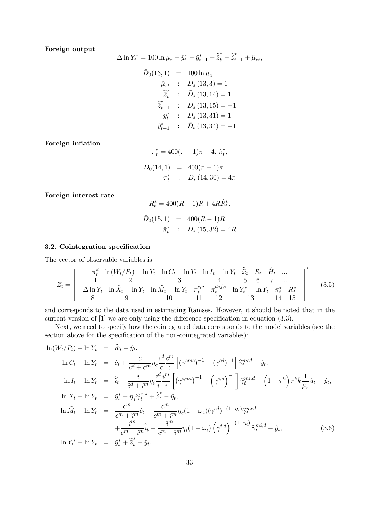#### Foreign output

$$
\Delta \ln Y_t^* = 100 \ln \mu_z + \hat{y}_t^* - \hat{y}_{t-1}^* + \hat{\tilde{z}}_t^* - \hat{\tilde{z}}_{t-1}^* + \hat{\mu}_{zt},
$$
  

$$
\bar{D}_0(13, 1) = 100 \ln \mu_z
$$

$$
\hat{\mu}_{zt} : \bar{D}_s (13,3) = 1
$$
\n
$$
\hat{\tilde{z}}_t^* : \bar{D}_s (13, 14) = 1
$$
\n
$$
\hat{\tilde{z}}_{t-1}^* : \bar{D}_s (13, 15) = -1
$$
\n
$$
\hat{y}_t^* : \bar{D}_s (13, 31) = 1
$$
\n
$$
\hat{y}_{t-1}^* : \bar{D}_s (13, 34) = -1
$$

Foreign inflation

$$
\pi_t^* = 400(\pi - 1)\pi + 4\pi \hat{\pi}_t^*,
$$
  

$$
\bar{D}_0(14, 1) = 400(\pi - 1)\pi
$$
  

$$
\hat{\pi}_t^* : \bar{D}_s(14, 30) = 4\pi
$$

Foreign interest rate

$$
R_t^* = 400(R - 1)R + 4R\hat{R}_t^*.
$$
  

$$
\bar{D}_0(15, 1) = 400(R - 1)R
$$
  

$$
\hat{\pi}_t^* : \bar{D}_s(15, 32) = 4R
$$

#### 3.2. Cointegration specification

The vector of observable variables is

$$
Z_{t} = \begin{bmatrix} \pi_{t}^{d} & \ln(W_{t}/P_{t}) - \ln Y_{t} & \ln C_{t} - \ln Y_{t} & \ln I_{t} - \ln Y_{t} & \hat{x}_{t} & R_{t} & \hat{H}_{t} & \dots \\ 1 & 2 & 3 & 4 & 5 & 6 & 7 & \dots \\ \Delta \ln Y_{t} & \ln \tilde{X}_{t} - \ln Y_{t} & \ln \tilde{M}_{t} - \ln Y_{t} & \pi_{t}^{epi} & \pi_{t}^{def,i} & \ln Y_{t}^{*} - \ln Y_{t} & \pi_{t}^{*} & R_{t}^{*} \\ 8 & 9 & 10 & 11 & 12 & 13 & 14 & 15 \end{bmatrix}' \tag{3.5}
$$

and corresponds to the data used in estimating Ramses. However, it should be noted that in the current version of [1] we are only using the difference specification in equation (3.3).

Next, we need to specify how the cointegrated data corresponds to the model variables (see the section above for the specification of the non-cointegrated variables):

$$
\ln(W_t/P_t) - \ln Y_t = \hat{w}_t - \hat{y}_t,
$$
  
\n
$$
\ln C_t - \ln Y_t = \hat{c}_t + \frac{c}{c^d + c^m} \eta_c \frac{c^d}{c} \frac{c^m}{c} \left[ (\gamma^{cmc})^{-1} - (\gamma^{cd})^{-1} \right] \hat{\gamma}_t^{mcd} - \hat{y}_t,
$$
  
\n
$$
\ln I_t - \ln Y_t = \hat{i}_t + \frac{\hat{i}}{\hat{i}^d + \hat{i}^m} \eta_i \frac{i^d}{\hat{i}} \frac{i^m}{\hat{i}} \left[ (\gamma^{i,mi})^{-1} - (\gamma^{i,d})^{-1} \right] \hat{\gamma}_t^{mi,d} + (1 - \tau^k) r^k \bar{k} \frac{1}{\mu_z} \hat{u}_t - \hat{y}_t,
$$
  
\n
$$
\ln \tilde{X}_t - \ln Y_t = \hat{y}_t^* - \eta_f \hat{\gamma}_t^{x,*} + \hat{\tilde{z}}_t^* - \hat{y}_t,
$$
  
\n
$$
\ln \tilde{M}_t - \ln Y_t = \frac{c^m}{c^m + \hat{i}^m} \hat{c}_t - \frac{c^m}{c^m + \hat{i}^m} \eta_c (1 - \omega_c) (\gamma^{cd})^{-(1 - \eta_c)} \hat{\gamma}_t^{mcd}
$$
  
\n
$$
+ \frac{\tilde{i}^m}{c^m + \hat{i}^m} \hat{\tilde{i}}_t - \frac{\tilde{i}^m}{c^m + \hat{i}^m} \eta_i (1 - \omega_i) (\gamma^{i,d})^{-(1 - \eta_i)} \hat{\gamma}_t^{mi,d} - \hat{y}_t,
$$
  
\n
$$
\ln Y_t^* - \ln Y_t = \hat{y}_t^* + \hat{\tilde{z}}_t^* - \hat{y}_t.
$$
\n(3.6)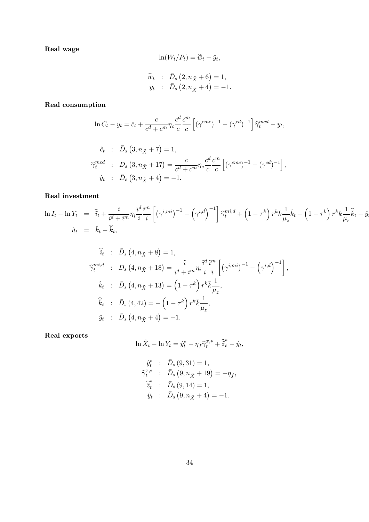Real wage

$$
\ln(W_t/P_t) = \widehat{\overline{w}}_t - \widehat{y}_t,
$$
  

$$
\widehat{\overline{w}}_t : \overline{D}_s (2, n_{\tilde{X}} + 6) = 1,
$$
  

$$
y_t : \overline{D}_s (2, n_{\tilde{X}} + 4) = -1.
$$

Real consumption

$$
\ln C_t - y_t = \hat{c}_t + \frac{c}{c^d + c^m} \eta_c \frac{c^d}{c} \frac{c^m}{c} \left[ (\gamma^{cmc})^{-1} - (\gamma^{cd})^{-1} \right] \hat{\gamma}_t^{mcd} - y_t,
$$

$$
\hat{c}_t : \bar{D}_s (3, n_{\tilde{X}} + 7) = 1,
$$
\n
$$
\hat{\gamma}_t^{med} : \bar{D}_s (3, n_{\tilde{X}} + 17) = \frac{c}{c^d + c^m} \eta_c \frac{c^d}{c} \frac{c^m}{c} \left[ (\gamma^{cmc})^{-1} - (\gamma^{cd})^{-1} \right],
$$
\n
$$
\hat{y}_t : \bar{D}_s (3, n_{\tilde{X}} + 4) = -1.
$$

### Real investment

$$
\ln I_t - \ln Y_t = \hat{i}_t + \frac{\hat{i}}{\hat{i}^d + \hat{i}^m} \eta_i \frac{\hat{i}^d}{\hat{i}} \frac{\hat{i}^m}{\hat{i}} \left[ \left( \gamma^{i,mi} \right)^{-1} - \left( \gamma^{i,d} \right)^{-1} \right] \hat{\gamma}_t^{mi,d} + \left( 1 - \tau^k \right) r^k \bar{k} \frac{1}{\mu_z} \hat{k}_t - \left( 1 - \tau^k \right) r^k \bar{k} \frac{1}{\mu_z} \hat{k}_t - \hat{y}_t
$$
  

$$
\hat{u}_t = \hat{k}_t - \hat{k}_t,
$$

$$
\hat{i}_t : \bar{D}_s (4, n_{\tilde{X}} + 8) = 1,
$$
\n
$$
\hat{\gamma}_t^{mi,d} : \bar{D}_s (4, n_{\tilde{X}} + 18) = \frac{\tilde{i}}{\tilde{i}^d + \tilde{i}^m} \eta_i \frac{\tilde{i}^d}{\tilde{i}} \frac{\tilde{i}^m}{\tilde{i}} \left[ \left( \gamma^{i,mi} \right)^{-1} - \left( \gamma^{i,d} \right)^{-1} \right],
$$
\n
$$
\hat{k}_t : \bar{D}_s (4, n_{\tilde{X}} + 13) = \left( 1 - \tau^k \right) r^k \bar{k} \frac{1}{\mu_z},
$$
\n
$$
\hat{k}_t : \bar{D}_s (4, 42) = - \left( 1 - \tau^k \right) r^k \bar{k} \frac{1}{\mu_z},
$$
\n
$$
\hat{y}_t : \bar{D}_s (4, n_{\tilde{X}} + 4) = -1.
$$

Real exports

$$
\ln \tilde{X}_t - \ln Y_t = \hat{y}_t^* - \eta_f \hat{\gamma}_t^{x,*} + \hat{\tilde{z}}_t^* - \hat{y}_t,
$$

$$
\hat{y}_{t}^{*} : \bar{D}_{s} (9,31) = 1,\n\hat{\gamma}_{t}^{x,*} : \bar{D}_{s} (9, n_{\tilde{X}} + 19) = -\eta_{f},\n\hat{\tilde{z}}_{t}^{*} : \bar{D}_{s} (9,14) = 1,\n\hat{y}_{t} : \bar{D}_{s} (9, n_{\tilde{X}} + 4) = -1.
$$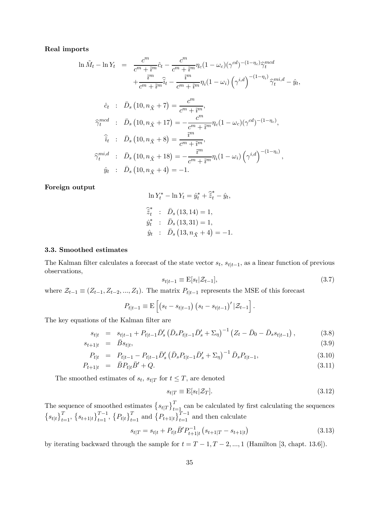#### Real imports

$$
\ln \tilde{M}_t - \ln Y_t = \frac{c^m}{c^m + \tilde{i}^m} \hat{c}_t - \frac{c^m}{c^m + \tilde{i}^m} \eta_c (1 - \omega_c) (\gamma^{cd})^{-(1 - \eta_c)} \hat{\gamma}_t^{mod}
$$
  
\n
$$
+ \frac{\tilde{i}^m}{c^m + \tilde{i}^m} \hat{\tilde{i}}_t - \frac{\tilde{i}^m}{c^m + \tilde{i}^m} \eta_i (1 - \omega_i) (\gamma^{i,d})^{-(1 - \eta_i)} \hat{\gamma}_t^{mi,d} - \hat{y}_t,
$$
  
\n
$$
\hat{c}_t : \bar{D}_s (10, n_{\tilde{X}} + 7) = \frac{c^m}{c^m + \tilde{i}^m},
$$
  
\n
$$
\hat{\gamma}_t^{mcd} : \bar{D}_s (10, n_{\tilde{X}} + 17) = -\frac{c^m}{c^m + \tilde{i}^m} \eta_c (1 - \omega_c) (\gamma^{cd})^{-(1 - \eta_c)},
$$
  
\n
$$
\hat{\tilde{i}}_t : \bar{D}_s (10, n_{\tilde{X}} + 8) = \frac{\tilde{i}^m}{c^m + \tilde{i}^m},
$$
  
\n
$$
\hat{\gamma}_t^{mi,d} : \bar{D}_s (10, n_{\tilde{X}} + 18) = -\frac{\tilde{i}^m}{c^m + \tilde{i}^m} \eta_i (1 - \omega_i) (\gamma^{i,d})^{-(1 - \eta_i)},
$$
  
\n
$$
\hat{y}_t : \bar{D}_s (10, n_{\tilde{X}} + 4) = -1.
$$

Foreign output

$$
\ln Y_t^* - \ln Y_t = \hat{y}_t^* + \hat{\tilde{z}}_t^* - \hat{y}_t,
$$
  
\n
$$
\hat{\tilde{z}}_t^* \quad \therefore \quad \bar{D}_s (13, 14) = 1,
$$
  
\n
$$
\hat{y}_t^* \quad \therefore \quad \bar{D}_s (13, 31) = 1,
$$
  
\n
$$
\hat{y}_t \quad \therefore \quad \bar{D}_s (13, n_{\tilde{X}} + 4) = -1.
$$

#### 3.3. Smoothed estimates

The Kalman filter calculates a forecast of the state vector  $s_t$ ,  $s_{t|t-1}$ , as a linear function of previous observations,

$$
s_{t|t-1} \equiv \mathcal{E}[s_t|\mathcal{Z}_{t-1}],\tag{3.7}
$$

where  $\mathcal{Z}_{t-1} \equiv (Z_{t-1}, Z_{t-2}, ..., Z_1)$ . The matrix  $P_{t|t-1}$  represents the MSE of this forecast

$$
P_{t|t-1} \equiv \mathbf{E}\left[ (s_t - s_{t|t-1}) (s_t - s_{t|t-1})' | \mathcal{Z}_{t-1} \right].
$$

The key equations of the Kalman filter are

$$
s_{t|t} = s_{t|t-1} + P_{t|t-1} \bar{D}'_s \left( \bar{D}_s P_{t|t-1} \bar{D}'_s + \Sigma_\eta \right)^{-1} \left( Z_t - \bar{D}_0 - \bar{D}_s s_{t|t-1} \right),\tag{3.8}
$$

$$
s_{t+1|t} = \bar{B}s_{t|t}, \tag{3.9}
$$

$$
P_{t|t} = P_{t|t-1} - P_{t|t-1} \bar{D}'_s \left( \bar{D}_s P_{t|t-1} \bar{D}'_s + \Sigma_\eta \right)^{-1} \bar{D}_s P_{t|t-1},
$$
\n(3.10)

$$
P_{t+1|t} = \bar{B}P_{t|t}\bar{B}' + Q. \tag{3.11}
$$

The smoothed estimates of  $s_t$ ,  $s_{t|T}$  for  $t \leq T$ , are denoted

$$
s_{t|T} \equiv \mathcal{E}[s_t|\mathcal{Z}_T].\tag{3.12}
$$

The sequence of smoothed estimates  ${s_{t|T}}_{t=1}^T$  can be calculated by first calculating the sequences  ${s_{t}}_{t}$  ${s_{t+1}}_{t}$ ,  ${s_{t+1}}_{t}$ ,  ${T_{t}}_{t+1}$ ,  ${T_{t}}_{t+1}$  and  ${T_{t+1}}_{t}$  and then calculate

$$
s_{t|T} = s_{t|t} + P_{t|t}\bar{B}'P_{t+1|t}^{-1}\left(s_{t+1|T} - s_{t+1|t}\right)
$$
\n(3.13)

by iterating backward through the sample for  $t = T - 1, T - 2, ..., 1$  (Hamilton [3, chapt. 13.6]).